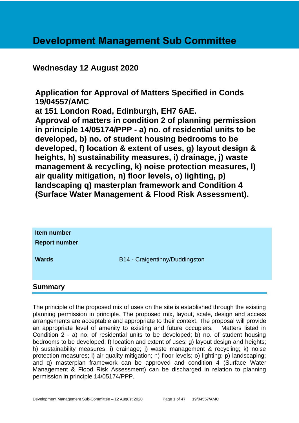## **Development Management Sub Committee**

## **Wednesday 12 August 2020**

**Application for Approval of Matters Specified in Conds 19/04557/AMC at 151 London Road, Edinburgh, EH7 6AE. Approval of matters in condition 2 of planning permission in principle 14/05174/PPP - a) no. of residential units to be developed, b) no. of student housing bedrooms to be developed, f) location & extent of uses, g) layout design & heights, h) sustainability measures, i) drainage, j) waste management & recycling, k) noise protection measures, l) air quality mitigation, n) floor levels, o) lighting, p) landscaping q) masterplan framework and Condition 4 (Surface Water Management & Flood Risk Assessment).**

| Item number<br><b>Report number</b> |                                |
|-------------------------------------|--------------------------------|
| <b>Wards</b>                        | B14 - Craigentinny/Duddingston |
| Summary                             |                                |

The principle of the proposed mix of uses on the site is established through the existing planning permission in principle. The proposed mix, layout, scale, design and access arrangements are acceptable and appropriate to their context. The proposal will provide an appropriate level of amenity to existing and future occupiers. Matters listed in Condition 2 - a) no. of residential units to be developed; b) no. of student housing bedrooms to be developed; f) location and extent of uses; g) layout design and heights; h) sustainability measures; i) drainage; j) waste management & recycling; k) noise protection measures; l) air quality mitigation; n) floor levels; o) lighting; p) landscaping; and q) masterplan framework can be approved and condition 4 (Surface Water Management & Flood Risk Assessment) can be discharged in relation to planning permission in principle 14/05174/PPP.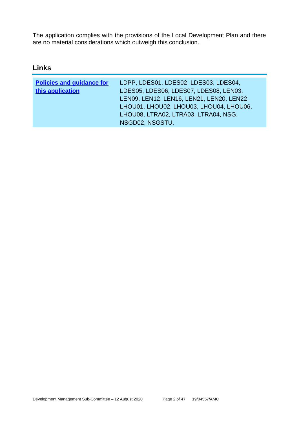The application complies with the provisions of the Local Development Plan and there are no material considerations which outweigh this conclusion.

## **Links**

| LDPP, LDES01, LDES02, LDES03, LDES04,     |
|-------------------------------------------|
| LDES05, LDES06, LDES07, LDES08, LEN03,    |
| LEN09, LEN12, LEN16, LEN21, LEN20, LEN22, |
| LHOU01, LHOU02, LHOU03, LHOU04, LHOU06,   |
| LHOU08, LTRA02, LTRA03, LTRA04, NSG,      |
| NSGD02, NSGSTU,                           |
|                                           |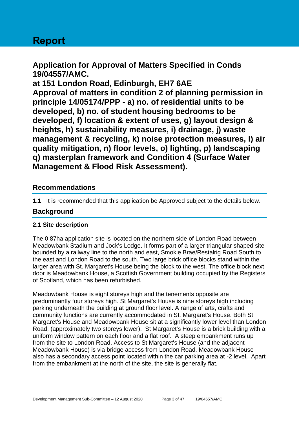# **Report**

**Application for Approval of Matters Specified in Conds 19/04557/AMC.**

**at 151 London Road, Edinburgh, EH7 6AE Approval of matters in condition 2 of planning permission in principle 14/05174/PPP - a) no. of residential units to be developed, b) no. of student housing bedrooms to be developed, f) location & extent of uses, g) layout design & heights, h) sustainability measures, i) drainage, j) waste management & recycling, k) noise protection measures, l) air quality mitigation, n) floor levels, o) lighting, p) landscaping q) masterplan framework and Condition 4 (Surface Water Management & Flood Risk Assessment).**

## **Recommendations**

**1.1** It is recommended that this application be Approved subject to the details below.

## **Background**

#### **2.1 Site description**

The 0.87ha application site is located on the northern side of London Road between Meadowbank Stadium and Jock's Lodge. It forms part of a larger triangular shaped site bounded by a railway line to the north and east, Smokie Brae/Restalrig Road South to the east and London Road to the south. Two large brick office blocks stand within the larger area with St. Margaret's House being the block to the west. The office block next door is Meadowbank House, a Scottish Government building occupied by the Registers of Scotland, which has been refurbished.

Meadowbank House is eight storeys high and the tenements opposite are predominantly four storeys high. St Margaret's House is nine storeys high including parking underneath the building at ground floor level. A range of arts, crafts and community functions are currently accommodated in St. Margaret's House. Both St Margaret's House and Meadowbank House sit at a significantly lower level than London Road, (approximately two storeys lower). St Margaret's House is a brick building with a uniform window pattern on each floor and a flat roof. A steep embankment runs up from the site to London Road. Access to St Margaret's House (and the adjacent Meadowbank House) is via bridge access from London Road. Meadowbank House also has a secondary access point located within the car parking area at -2 level. Apart from the embankment at the north of the site, the site is generally flat.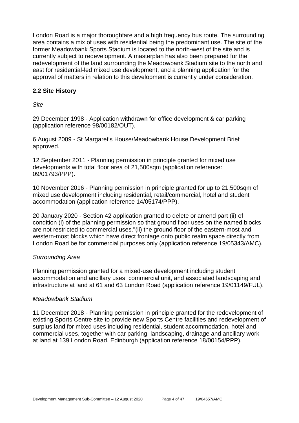London Road is a major thoroughfare and a high frequency bus route. The surrounding area contains a mix of uses with residential being the predominant use. The site of the former Meadowbank Sports Stadium is located to the north-west of the site and is currently subject to redevelopment. A masterplan has also been prepared for the redevelopment of the land surrounding the Meadowbank Stadium site to the north and east for residential-led mixed use development, and a planning application for the approval of matters in relation to this development is currently under consideration.

#### **2.2 Site History**

*Site* 

29 December 1998 - Application withdrawn for office development & car parking (application reference 98/00182/OUT).

6 August 2009 - St Margaret's House/Meadowbank House Development Brief approved.

12 September 2011 - Planning permission in principle granted for mixed use developments with total floor area of 21,500sqm (application reference: 09/01793/PPP).

10 November 2016 - Planning permission in principle granted for up to 21,500sqm of mixed use development including residential, retail/commercial, hotel and student accommodation (application reference 14/05174/PPP).

20 January 2020 - Section 42 application granted to delete or amend part (ii) of condition (l) of the planning permission so that ground floor uses on the named blocks are not restricted to commercial uses."(ii) the ground floor of the eastern-most and western-most blocks which have direct frontage onto public realm space directly from London Road be for commercial purposes only (application reference 19/05343/AMC).

#### *Surrounding Area*

Planning permission granted for a mixed-use development including student accommodation and ancillary uses, commercial unit, and associated landscaping and infrastructure at land at 61 and 63 London Road (application reference 19/01149/FUL).

#### *Meadowbank Stadium*

11 December 2018 - Planning permission in principle granted for the redevelopment of existing Sports Centre site to provide new Sports Centre facilities and redevelopment of surplus land for mixed uses including residential, student accommodation, hotel and commercial uses, together with car parking, landscaping, drainage and ancillary work at land at 139 London Road, Edinburgh (application reference 18/00154/PPP).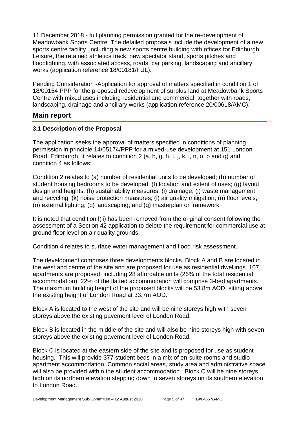11 December 2018 - full planning permission granted for the re-development of Meadowbank Sports Centre. The detailed proposals include the development of a new sports centre facility, including a new sports centre building with offices for Edinburgh Leisure, the retained athletics track, new spectator stand, sports pitches and floodlighting, with associated access, roads, car parking, landscaping and ancillary works (application reference 18/00181/FUL).

Pending Consideration -Application for approval of matters specified in condition 1 of 18/00154 PPP for the proposed redevelopment of surplus land at Meadowbank Sports Centre with mixed uses including residential and commercial, together with roads, landscaping, drainage and ancillary works (application reference 20/00618/AMC).

#### **Main report**

#### **3.1 Description of the Proposal**

The application seeks the approval of matters specified in conditions of planning permission in principle 14/05174/PPP for a mixed-use development at 151 London Road, Edinburgh. It relates to condition 2 (a, b, g, h, I, j, k, l, n, o, p and q) and condition 4 as follows;

Condition 2 relates to (a) number of residential units to be developed; (b) number of student housing bedrooms to be developed; (f) location and extent of uses; (g) layout design and heights; (h) sustainability measures; (i) drainage; (j) waste management and recycling; (k) noise protection measures; (l) air quality mitigation; (n) floor levels; (o) external lighting; (p) landscaping; and (q) masterplan or framework.

It is noted that condition l(ii) has been removed from the original consent following the assessment of a Section 42 application to delete the requirement for commercial use at ground floor level on air quality grounds.

Condition 4 relates to surface water management and flood risk assessment.

The development comprises three developments blocks. Block A and B are located in the west and centre of the site and are proposed for use as residential dwellings. 107 apartments are proposed, including 28 affordable units (26% of the total residential accommodation). 22% of the flatted accommodation will comprise 3-bed apartments. The maximum building height of the proposed blocks will be 53.8m AOD, sitting above the existing height of London Road at 33.7m AOD.

Block A is located to the west of the site and will be nine storeys high with seven storeys above the existing pavement level of London Road.

Block B is located in the middle of the site and will also be nine storeys high with seven storeys above the existing pavement level of London Road.

Block C is located at the eastern side of the site and is proposed for use as student housing. This will provide 377 student beds in a mix of en-suite rooms and studio apartment accommodation. Common social areas, study area and administrative space will also be provided within the student accommodation. Block C will be nine storeys high on its northern elevation stepping down to seven storeys on its southern elevation to London Road.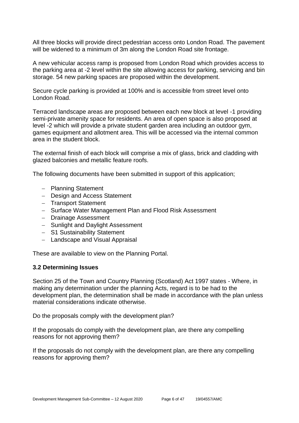All three blocks will provide direct pedestrian access onto London Road. The pavement will be widened to a minimum of 3m along the London Road site frontage.

A new vehicular access ramp is proposed from London Road which provides access to the parking area at -2 level within the site allowing access for parking, servicing and bin storage. 54 new parking spaces are proposed within the development.

Secure cycle parking is provided at 100% and is accessible from street level onto London Road.

Terraced landscape areas are proposed between each new block at level -1 providing semi-private amenity space for residents. An area of open space is also proposed at level -2 which will provide a private student garden area including an outdoor gym, games equipment and allotment area. This will be accessed via the internal common area in the student block.

The external finish of each block will comprise a mix of glass, brick and cladding with glazed balconies and metallic feature roofs.

The following documents have been submitted in support of this application;

- − Planning Statement
- − Design and Access Statement
- − Transport Statement
- − Surface Water Management Plan and Flood Risk Assessment
- − Drainage Assessment
- − Sunlight and Daylight Assessment
- − S1 Sustainability Statement
- − Landscape and Visual Appraisal

These are available to view on the Planning Portal.

#### **3.2 Determining Issues**

Section 25 of the Town and Country Planning (Scotland) Act 1997 states - Where, in making any determination under the planning Acts, regard is to be had to the development plan, the determination shall be made in accordance with the plan unless material considerations indicate otherwise.

Do the proposals comply with the development plan?

If the proposals do comply with the development plan, are there any compelling reasons for not approving them?

If the proposals do not comply with the development plan, are there any compelling reasons for approving them?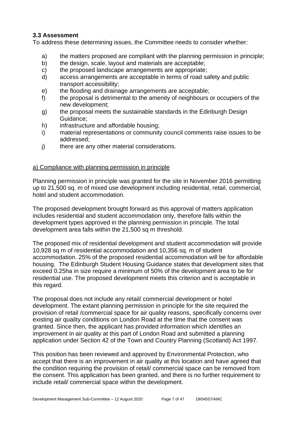#### **3.3 Assessment**

To address these determining issues, the Committee needs to consider whether:

- a) the matters proposed are compliant with the planning permission in principle;
- b) the design, scale, layout and materials are acceptable;
- c) the proposed landscape arrangements are appropriate;
- d) access arrangements are acceptable in terms of road safety and public transport accessibility;
- e) the flooding and drainage arrangements are acceptable;
- f) the proposal is detrimental to the amenity of neighbours or occupiers of the new development;
- g) the proposal meets the sustainable standards in the Edinburgh Design Guidance;
- h) infrastructure and affordable housing;
- i) material representations or community council comments raise issues to be addressed;
- j) there are any other material considerations.

#### a) Compliance with planning permission in principle

Planning permission in principle was granted for the site in November 2016 permitting up to 21,500 sq. m of mixed use development including residential, retail, commercial, hotel and student accommodation.

The proposed development brought forward as this approval of matters application includes residential and student accommodation only, therefore falls within the development types approved in the planning permission in principle. The total development area falls within the 21,500 sq m threshold.

The proposed mix of residential development and student accommodation will provide 10,928 sq m of residential accommodation and 10,356 sq. m of student accommodation. 25% of the proposed residential accommodation will be for affordable housing. The Edinburgh Student Housing Guidance states that development sites that exceed 0.25ha in size require a minimum of 50% of the development area to be for residential use. The proposed development meets this criterion and is acceptable in this regard.

The proposal does not include any retail/ commercial development or hotel development. The extant planning permission in principle for the site required the provision of retail /commercial space for air quality reasons, specifically concerns over existing air quality conditions on London Road at the time that the consent was granted. Since then, the applicant has provided information which identifies an improvement in air quality at this part of London Road and submitted a planning application under Section 42 of the Town and Country Planning (Scotland) Act 1997.

This position has been reviewed and approved by Environmental Protection, who accept that there is an improvement in air quality at this location and have agreed that the condition requiring the provision of retail/ commercial space can be removed from the consent. This application has been granted, and there is no further requirement to include retail/ commercial space within the development.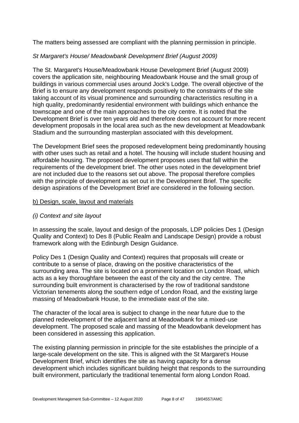The matters being assessed are compliant with the planning permission in principle.

#### *St Margaret's House/ Meadowbank Development Brief (August 2009)*

The St. Margaret's House/Meadowbank House Development Brief (August 2009) covers the application site, neighbouring Meadowbank House and the small group of buildings in various commercial uses around Jock's Lodge. The overall objective of the Brief is to ensure any development responds positively to the constraints of the site taking account of its visual prominence and surrounding characteristics resulting in a high quality, predominantly residential environment with buildings which enhance the townscape and one of the main approaches to the city centre. It is noted that the Development Brief is over ten years old and therefore does not account for more recent development proposals in the local area such as the new development at Meadowbank Stadium and the surrounding masterplan associated with this development.

The Development Brief sees the proposed redevelopment being predominantly housing with other uses such as retail and a hotel. The housing will include student housing and affordable housing. The proposed development proposes uses that fall within the requirements of the development brief. The other uses noted in the development brief are not included due to the reasons set out above. The proposal therefore complies with the principle of development as set out in the Development Brief. The specific design aspirations of the Development Brief are considered in the following section.

#### b) Design, scale, layout and materials

#### *(i) Context and site layout*

In assessing the scale, layout and design of the proposals, LDP policies Des 1 (Design Quality and Context) to Des 8 (Public Realm and Landscape Design) provide a robust framework along with the Edinburgh Design Guidance.

Policy Des 1 (Design Quality and Context) requires that proposals will create or contribute to a sense of place, drawing on the positive characteristics of the surrounding area. The site is located on a prominent location on London Road, which acts as a key thoroughfare between the east of the city and the city centre. The surrounding built environment is characterised by the row of traditional sandstone Victorian tenements along the southern edge of London Road, and the existing large massing of Meadowbank House, to the immediate east of the site.

The character of the local area is subject to change in the near future due to the planned redevelopment of the adjacent land at Meadowbank for a mixed-use development. The proposed scale and massing of the Meadowbank development has been considered in assessing this application.

The existing planning permission in principle for the site establishes the principle of a large-scale development on the site. This is aligned with the St Margaret's House Development Brief, which identifies the site as having capacity for a dense development which includes significant building height that responds to the surrounding built environment, particularly the traditional tenemental form along London Road.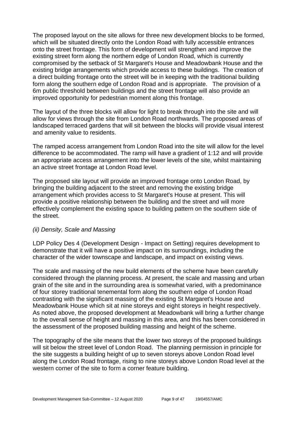The proposed layout on the site allows for three new development blocks to be formed, which will be situated directly onto the London Road with fully accessible entrances onto the street frontage. This form of development will strengthen and improve the existing street form along the northern edge of London Road, which is currently compromised by the setback of St Margaret's House and Meadowbank House and the existing bridge arrangements which provide access to these buildings. The creation of a direct building frontage onto the street will be in keeping with the traditional building form along the southern edge of London Road and is appropriate. The provision of a 6m public threshold between buildings and the street frontage will also provide an improved opportunity for pedestrian moment along this frontage.

The layout of the three blocks will allow for light to break through into the site and will allow for views through the site from London Road northwards. The proposed areas of landscaped terraced gardens that will sit between the blocks will provide visual interest and amenity value to residents.

The ramped access arrangement from London Road into the site will allow for the level difference to be accommodated. The ramp will have a gradient of 1:12 and will provide an appropriate access arrangement into the lower levels of the site, whilst maintaining an active street frontage at London Road level.

The proposed site layout will provide an improved frontage onto London Road, by bringing the building adjacent to the street and removing the existing bridge arrangement which provides access to St Margaret's House at present. This will provide a positive relationship between the building and the street and will more effectively complement the existing space to building pattern on the southern side of the street.

#### *(ii) Density, Scale and Massing*

LDP Policy Des 4 (Development Design - Impact on Setting) requires development to demonstrate that it will have a positive impact on its surroundings, including the character of the wider townscape and landscape, and impact on existing views.

The scale and massing of the new build elements of the scheme have been carefully considered through the planning process. At present, the scale and massing and urban grain of the site and in the surrounding area is somewhat varied, with a predominance of four storey traditional tenemental form along the southern edge of London Road contrasting with the significant massing of the existing St Margaret's House and Meadowbank House which sit at nine storeys and eight storeys in height respectively. As noted above, the proposed development at Meadowbank will bring a further change to the overall sense of height and massing in this area, and this has been considered in the assessment of the proposed building massing and height of the scheme.

The topography of the site means that the lower two storeys of the proposed buildings will sit below the street level of London Road. The planning permission in principle for the site suggests a building height of up to seven storeys above London Road level along the London Road frontage, rising to nine storeys above London Road level at the western corner of the site to form a corner feature building.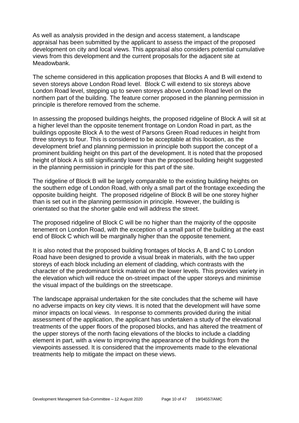As well as analysis provided in the design and access statement, a landscape appraisal has been submitted by the applicant to assess the impact of the proposed development on city and local views. This appraisal also considers potential cumulative views from this development and the current proposals for the adjacent site at Meadowbank.

The scheme considered in this application proposes that Blocks A and B will extend to seven storeys above London Road level. Block C will extend to six storeys above London Road level, stepping up to seven storeys above London Road level on the northern part of the building. The feature corner proposed in the planning permission in principle is therefore removed from the scheme.

In assessing the proposed buildings heights, the proposed ridgeline of Block A will sit at a higher level than the opposite tenement frontage on London Road in part, as the buildings opposite Block A to the west of Parsons Green Road reduces in height from three storeys to four. This is considered to be acceptable at this location, as the development brief and planning permission in principle both support the concept of a prominent building height on this part of the development. It is noted that the proposed height of block A is still significantly lower than the proposed building height suggested in the planning permission in principle for this part of the site.

The ridgeline of Block B will be largely comparable to the existing building heights on the southern edge of London Road, with only a small part of the frontage exceeding the opposite building height. The proposed ridgeline of Block B will be one storey higher than is set out in the planning permission in principle. However, the building is orientated so that the shorter gable end will address the street.

The proposed ridgeline of Block C will be no higher than the majority of the opposite tenement on London Road, with the exception of a small part of the building at the east end of Block C which will be marginally higher than the opposite tenement.

It is also noted that the proposed building frontages of blocks A, B and C to London Road have been designed to provide a visual break in materials, with the two upper storeys of each block including an element of cladding, which contrasts with the character of the predominant brick material on the lower levels. This provides variety in the elevation which will reduce the on-street impact of the upper storeys and minimise the visual impact of the buildings on the streetscape.

The landscape appraisal undertaken for the site concludes that the scheme will have no adverse impacts on key city views. It is noted that the development will have some minor impacts on local views. In response to comments provided during the initial assessment of the application, the applicant has undertaken a study of the elevational treatments of the upper floors of the proposed blocks, and has altered the treatment of the upper storeys of the north facing elevations of the blocks to include a cladding element in part, with a view to improving the appearance of the buildings from the viewpoints assessed. It is considered that the improvements made to the elevational treatments help to mitigate the impact on these views.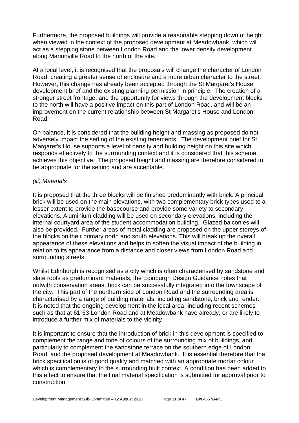Furthermore, the proposed buildings will provide a reasonable stepping down of height when viewed in the context of the proposed development at Meadowbank, which will act as a stepping stone between London Road and the lower density development along Marionville Road to the north of the site.

At a local level, it is recognised that the proposals will change the character of London Road, creating a greater sense of enclosure and a more urban character to the street. However, this change has already been accepted through the St Margaret's House development brief and the existing planning permission in principle. The creation of a stronger street frontage, and the opportunity for views through the development blocks to the north will have a positive impact on this part of London Road, and will be an improvement on the current relationship between St Margaret's House and London Road.

On balance, it is considered that the building height and massing as proposed do not adversely impact the setting of the existing tenements. The development brief for St Margaret's House supports a level of density and building height on this site which responds effectively to the surrounding context and it is considered that this scheme achieves this objective. The proposed height and massing are therefore considered to be appropriate for the setting and are acceptable.

#### *(iii) Materials*

It is proposed that the three blocks will be finished predominantly with brick. A principal brick will be used on the main elevations, with two complementary brick types used to a lesser extent to provide the basecourse and provide some variety to secondary elevations. Aluminium cladding will be used on secondary elevations, including the internal courtyard area of the student accommodation building. Glazed balconies will also be provided. Further areas of metal cladding are proposed on the upper storeys of the blocks on their primary north and south elevations. This will break up the overall appearance of these elevations and helps to soften the visual impact of the building in relation to its appearance from a distance and closer views from London Road and surrounding streets.

Whilst Edinburgh is recognised as a city which is often characterised by sandstone and slate roofs as predominant materials, the Edinburgh Design Guidance notes that outwith conservation areas, brick can be successfully integrated into the townscape of the city. This part of the northern side of London Road and the surrounding area is characterised by a range of building materials, including sandstone, brick and render. It is noted that the ongoing development in the local area, including recent schemes such as that at 61-63 London Road and at Meadowbank have already, or are likely to introduce a further mix of materials to the vicinity.

It is important to ensure that the introduction of brick in this development is specified to complement the range and tone of colours of the surrounding mix of buildings, and particularly to complement the sandstone terrace on the southern edge of London Road, and the proposed development at Meadowbank. It is essential therefore that the brick specification is of good quality and matched with an appropriate mortar colour which is complementary to the surrounding built context. A condition has been added to this effect to ensure that the final material specification is submitted for approval prior to construction.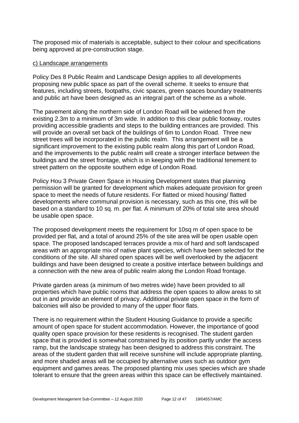The proposed mix of materials is acceptable, subject to their colour and specifications being approved at pre-construction stage.

#### c) Landscape arrangements

Policy Des 8 Public Realm and Landscape Design applies to all developments proposing new public space as part of the overall scheme. It seeks to ensure that features, including streets, footpaths, civic spaces, green spaces boundary treatments and public art have been designed as an integral part of the scheme as a whole.

The pavement along the northern side of London Road will be widened from the existing 2.3m to a minimum of 3m wide. In addition to this clear public footway, routes providing accessible gradients and steps to the building entrances are provided. This will provide an overall set back of the buildings of 6m to London Road. Three new street trees will be incorporated in the public realm. This arrangement will be a significant improvement to the existing public realm along this part of London Road, and the improvements to the public realm will create a stronger interface between the buildings and the street frontage, which is in keeping with the traditional tenement to street pattern on the opposite southern edge of London Road.

Policy Hou 3 Private Green Space in Housing Development states that planning permission will be granted for development which makes adequate provision for green space to meet the needs of future residents. For flatted or mixed housing/ flatted developments where communal provision is necessary, such as this one, this will be based on a standard to 10 sq. m. per flat. A minimum of 20% of total site area should be usable open space.

The proposed development meets the requirement for 10sq m of open space to be provided per flat, and a total of around 25% of the site area will be open usable open space. The proposed landscaped terraces provide a mix of hard and soft landscaped areas with an appropriate mix of native plant species, which have been selected for the conditions of the site. All shared open spaces will be well overlooked by the adjacent buildings and have been designed to create a positive interface between buildings and a connection with the new area of public realm along the London Road frontage.

Private garden areas (a minimum of two metres wide) have been provided to all properties which have public rooms that address the open spaces to allow areas to sit out in and provide an element of privacy. Additional private open space in the form of balconies will also be provided to many of the upper floor flats.

There is no requirement within the Student Housing Guidance to provide a specific amount of open space for student accommodation. However, the importance of good quality open space provision for these residents is recognised. The student garden space that is provided is somewhat constrained by its position partly under the access ramp, but the landscape strategy has been designed to address this constraint. The areas of the student garden that will receive sunshine will include appropriate planting, and more shaded areas will be occupied by alternative uses such as outdoor gym equipment and games areas. The proposed planting mix uses species which are shade tolerant to ensure that the green areas within this space can be effectively maintained.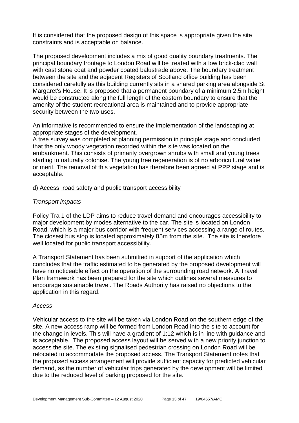It is considered that the proposed design of this space is appropriate given the site constraints and is acceptable on balance.

The proposed development includes a mix of good quality boundary treatments. The principal boundary frontage to London Road will be treated with a low brick-clad wall with cast stone coat and powder coated balustrade above. The boundary treatment between the site and the adjacent Registers of Scotland office building has been considered carefully as this building currently sits in a shared parking area alongside St Margaret's House. It is proposed that a permanent boundary of a minimum 2.5m height would be constructed along the full length of the eastern boundary to ensure that the amenity of the student recreational area is maintained and to provide appropriate security between the two uses.

An informative is recommended to ensure the implementation of the landscaping at appropriate stages of the development.

A tree survey was completed at planning permission in principle stage and concluded that the only woody vegetation recorded within the site was located on the embankment. This consists of primarily overgrown shrubs with small and young trees starting to naturally colonise. The young tree regeneration is of no arboricultural value or merit. The removal of this vegetation has therefore been agreed at PPP stage and is acceptable.

#### d) Access, road safety and public transport accessibility

#### *Transport impacts*

Policy Tra 1 of the LDP aims to reduce travel demand and encourages accessibility to major development by modes alternative to the car. The site is located on London Road, which is a major bus corridor with frequent services accessing a range of routes. The closest bus stop is located approximately 85m from the site. The site is therefore well located for public transport accessibility.

A Transport Statement has been submitted in support of the application which concludes that the traffic estimated to be generated by the proposed development will have no noticeable effect on the operation of the surrounding road network. A Travel Plan framework has been prepared for the site which outlines several measures to encourage sustainable travel. The Roads Authority has raised no objections to the application in this regard.

#### *Access*

Vehicular access to the site will be taken via London Road on the southern edge of the site. A new access ramp will be formed from London Road into the site to account for the change in levels. This will have a gradient of 1:12 which is in line with guidance and is acceptable. The proposed access layout will be served with a new priority junction to access the site. The existing signalised pedestrian crossing on London Road will be relocated to accommodate the proposed access. The Transport Statement notes that the proposed access arrangement will provide sufficient capacity for predicted vehicular demand, as the number of vehicular trips generated by the development will be limited due to the reduced level of parking proposed for the site.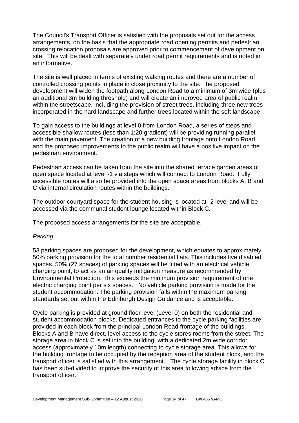The Council's Transport Officer is satisfied with the proposals set out for the access arrangements, on the basis that the appropriate road opening permits and pedestrian crossing relocation proposals are approved prior to commencement of development on site. This will be dealt with separately under road permit requirements and is noted in an informative.

The site is well placed in terms of existing walking routes and there are a number of controlled crossing points in place in close proximity to the site. The proposed development will widen the footpath along London Road to a minimum of 3m wide (plus an additional 3m building threshold) and will create an improved area of public realm within the streetscape, including the provision of street trees, including three new trees incorporated in the hard landscape and further trees located within the soft landscape.

To gain access to the buildings at level 0 from London Road, a series of steps and accessible shallow routes (less than 1:20 gradient) will be providing running parallel with the main pavement. The creation of a new building frontage onto London Road and the proposed improvements to the public realm will have a positive impact on the pedestrian environment.

Pedestrian access can be taken from the site into the shared terrace garden areas of open space located at level -1 via steps which will connect to London Road. Fully accessible routes will also be provided into the open space areas from blocks A, B and C via internal circulation routes within the buildings.

The outdoor courtyard space for the student housing is located at -2 level and will be accessed via the communal student lounge located within Block C.

The proposed access arrangements for the site are acceptable.

#### *Parking*

53 parking spaces are proposed for the development, which equates to approximately 50% parking provision for the total number residential flats. This includes five disabled spaces. 50% (27 spaces) of parking spaces will be fitted with an electrical vehicle charging point, to act as an air quality mitigation measure as recommended by Environmental Protection. This exceeds the minimum provision requirement of one electric charging point per six spaces. No vehicle parking provision is made for the student accommodation. The parking provision falls within the maximum parking standards set out within the Edinburgh Design Guidance and is acceptable.

Cycle parking is provided at ground floor level (Level 0) on both the residential and student accommodation blocks. Dedicated entrances to the cycle parking facilities are provided in each block from the principal London Road frontage of the buildings. Blocks A and B have direct, level access to the cycle stores rooms from the street. The storage area in block C is set into the building, with a dedicated 2m wide corridor access (approximately 10m length) connecting to cycle storage area. This allows for the building frontage to be occupied by the reception area of the student block, and the transport officer is satisfied with this arrangement. The cycle storage facility in block C has been sub-divided to improve the security of this area following advice from the transport officer.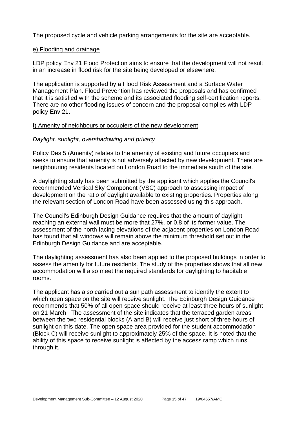The proposed cycle and vehicle parking arrangements for the site are acceptable.

#### e) Flooding and drainage

LDP policy Env 21 Flood Protection aims to ensure that the development will not result in an increase in flood risk for the site being developed or elsewhere.

The application is supported by a Flood Risk Assessment and a Surface Water Management Plan. Flood Prevention has reviewed the proposals and has confirmed that it is satisfied with the scheme and its associated flooding self-certification reports. There are no other flooding issues of concern and the proposal complies with LDP policy Env 21.

#### f) Amenity of neighbours or occupiers of the new development

#### *Daylight, sunlight, overshadowing and privacy*

Policy Des 5 (Amenity) relates to the amenity of existing and future occupiers and seeks to ensure that amenity is not adversely affected by new development. There are neighbouring residents located on London Road to the immediate south of the site.

A daylighting study has been submitted by the applicant which applies the Council's recommended Vertical Sky Component (VSC) approach to assessing impact of development on the ratio of daylight available to existing properties. Properties along the relevant section of London Road have been assessed using this approach.

The Council's Edinburgh Design Guidance requires that the amount of daylight reaching an external wall must be more that 27%, or 0.8 of its former value. The assessment of the north facing elevations of the adjacent properties on London Road has found that all windows will remain above the minimum threshold set out in the Edinburgh Design Guidance and are acceptable.

The daylighting assessment has also been applied to the proposed buildings in order to assess the amenity for future residents. The study of the properties shows that all new accommodation will also meet the required standards for daylighting to habitable rooms.

The applicant has also carried out a sun path assessment to identify the extent to which open space on the site will receive sunlight. The Edinburgh Design Guidance recommends that 50% of all open space should receive at least three hours of sunlight on 21 March. The assessment of the site indicates that the terraced garden areas between the two residential blocks (A and B) will receive just short of three hours of sunlight on this date. The open space area provided for the student accommodation (Block C) will receive sunlight to approximately 25% of the space. It is noted that the ability of this space to receive sunlight is affected by the access ramp which runs through it.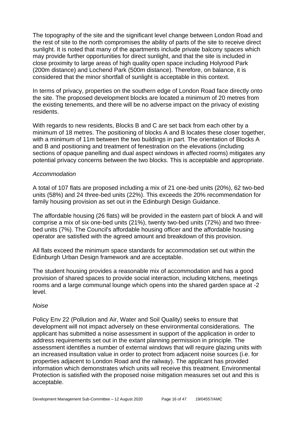The topography of the site and the significant level change between London Road and the rest of site to the north compromises the ability of parts of the site to receive direct sunlight. It is noted that many of the apartments include private balcony spaces which may provide further opportunities for direct sunlight, and that the site is included in close proximity to large areas of high quality open space including Holyrood Park (200m distance) and Lochend Park (500m distance). Therefore, on balance, it is considered that the minor shortfall of sunlight is acceptable in this context.

In terms of privacy, properties on the southern edge of London Road face directly onto the site. The proposed development blocks are located a minimum of 20 metres from the existing tenements, and there will be no adverse impact on the privacy of existing residents.

With regards to new residents, Blocks B and C are set back from each other by a minimum of 18 metres. The positioning of blocks A and B locates these closer together, with a minimum of 11m between the two buildings in part. The orientation of Blocks A and B and positioning and treatment of fenestration on the elevations (including sections of opaque panelling and dual aspect windows in affected rooms) mitigates any potential privacy concerns between the two blocks. This is acceptable and appropriate.

#### *Accommodation*

A total of 107 flats are proposed including a mix of 21 one-bed units (20%), 62 two-bed units (58%) and 24 three-bed units (22%). This exceeds the 20% recommendation for family housing provision as set out in the Edinburgh Design Guidance.

The affordable housing (26 flats) will be provided in the eastern part of block A and will comprise a mix of six one-bed units (21%), twenty two-bed units (72%) and two threebed units (7%). The Council's affordable housing officer and the affordable housing operator are satisfied with the agreed amount and breakdown of this provision.

All flats exceed the minimum space standards for accommodation set out within the Edinburgh Urban Design framework and are acceptable.

The student housing provides a reasonable mix of accommodation and has a good provision of shared spaces to provide social interaction, including kitchens, meetings rooms and a large communal lounge which opens into the shared garden space at -2 level.

#### *Noise*

Policy Env 22 (Pollution and Air, Water and Soil Quality) seeks to ensure that development will not impact adversely on these environmental considerations. The applicant has submitted a noise assessment in support of the application in order to address requirements set out in the extant planning permission in principle. The assessment identifies a number of external windows that will require glazing units with an increased insultation value in order to protect from adjacent noise sources (i.e. for properties adjacent to London Road and the railway). The applicant has provided information which demonstrates which units will receive this treatment. Environmental Protection is satisfied with the proposed noise mitigation measures set out and this is acceptable.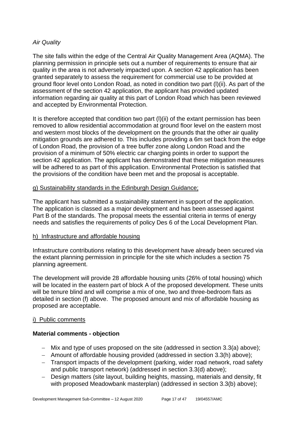#### *Air Quality*

The site falls within the edge of the Central Air Quality Management Area (AQMA). The planning permission in principle sets out a number of requirements to ensure that air quality in the area is not adversely impacted upon. A section 42 application has been granted separately to assess the requirement for commercial use to be provided at ground floor level onto London Road, as noted in condition two part (l)(ii). As part of the assessment of the section 42 application, the applicant has provided updated information regarding air quality at this part of London Road which has been reviewed and accepted by Environmental Protection.

It is therefore accepted that condition two part (l)(ii) of the extant permission has been removed to allow residential accommodation at ground floor level on the eastern most and western most blocks of the development on the grounds that the other air quality mitigation grounds are adhered to. This includes providing a 6m set back from the edge of London Road, the provision of a tree buffer zone along London Road and the provision of a minimum of 50% electric car charging points in order to support the section 42 application. The applicant has demonstrated that these mitigation measures will be adhered to as part of this application. Environmental Protection is satisfied that the provisions of the condition have been met and the proposal is acceptable.

#### g) Sustainability standards in the Edinburgh Design Guidance;

The applicant has submitted a sustainability statement in support of the application. The application is classed as a major development and has been assessed against Part B of the standards. The proposal meets the essential criteria in terms of energy needs and satisfies the requirements of policy Des 6 of the Local Development Plan.

#### h) Infrastructure and affordable housing

Infrastructure contributions relating to this development have already been secured via the extant planning permission in principle for the site which includes a section 75 planning agreement.

The development will provide 28 affordable housing units (26% of total housing) which will be located in the eastern part of block A of the proposed development. These units will be tenure blind and will comprise a mix of one, two and three-bedroom flats as detailed in section (f) above. The proposed amount and mix of affordable housing as proposed are acceptable.

#### i) Public comments

#### **Material comments - objection**

- − Mix and type of uses proposed on the site (addressed in section 3.3(a) above);
- − Amount of affordable housing provided (addressed in section 3.3(h) above);
- − Transport impacts of the development (parking, wider road network, road safety and public transport network) (addressed in section 3.3(d) above);
- − Design matters (site layout, building heights, massing, materials and density, fit with proposed Meadowbank masterplan) (addressed in section 3.3(b) above);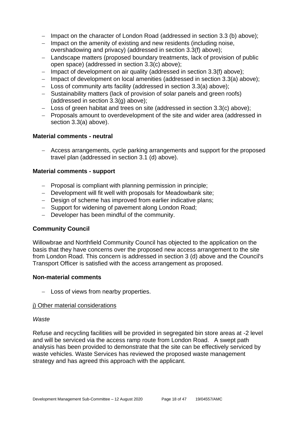- − Impact on the character of London Road (addressed in section 3.3 (b) above);
- − Impact on the amenity of existing and new residents (including noise, overshadowing and privacy) (addressed in section 3.3(f) above);
- − Landscape matters (proposed boundary treatments, lack of provision of public open space) (addressed in section 3.3(c) above);
- − Impact of development on air quality (addressed in section 3.3(f) above);
- − Impact of development on local amenities (addressed in section 3.3(a) above);
- − Loss of community arts facility (addressed in section 3.3(a) above);
- − Sustainability matters (lack of provision of solar panels and green roofs) (addressed in section 3.3(g) above);
- − Loss of green habitat and trees on site (addressed in section 3.3(c) above);
- − Proposals amount to overdevelopment of the site and wider area (addressed in section 3.3(a) above).

#### **Material comments - neutral**

− Access arrangements, cycle parking arrangements and support for the proposed travel plan (addressed in section 3.1 (d) above).

#### **Material comments - support**

- − Proposal is compliant with planning permission in principle;
- − Development will fit well with proposals for Meadowbank site;
- − Design of scheme has improved from earlier indicative plans;
- − Support for widening of pavement along London Road;
- − Developer has been mindful of the community.

#### **Community Council**

Willowbrae and Northfield Community Council has objected to the application on the basis that they have concerns over the proposed new access arrangement to the site from London Road. This concern is addressed in section 3 (d) above and the Council's Transport Officer is satisfied with the access arrangement as proposed.

#### **Non-material comments**

− Loss of views from nearby properties.

#### j) Other material considerations

#### *Waste*

Refuse and recycling facilities will be provided in segregated bin store areas at -2 level and will be serviced via the access ramp route from London Road. A swept path analysis has been provided to demonstrate that the site can be effectively serviced by waste vehicles. Waste Services has reviewed the proposed waste management strategy and has agreed this approach with the applicant.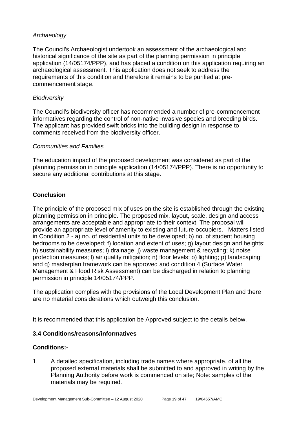#### *Archaeology*

The Council's Archaeologist undertook an assessment of the archaeological and historical significance of the site as part of the planning permission in principle application (14/05174/PPP), and has placed a condition on this application requiring an archaeological assessment. This application does not seek to address the requirements of this condition and therefore it remains to be purified at precommencement stage.

#### *Biodiversity*

The Council's biodiversity officer has recommended a number of pre-commencement informatives regarding the control of non-native invasive species and breeding birds. The applicant has provided swift bricks into the building design in response to comments received from the biodiversity officer.

#### *Communities and Families*

The education impact of the proposed development was considered as part of the planning permission in principle application (14/05174/PPP). There is no opportunity to secure any additional contributions at this stage.

## **Conclusion**

The principle of the proposed mix of uses on the site is established through the existing planning permission in principle. The proposed mix, layout, scale, design and access arrangements are acceptable and appropriate to their context. The proposal will provide an appropriate level of amenity to existing and future occupiers. Matters listed in Condition 2 - a) no. of residential units to be developed; b) no. of student housing bedrooms to be developed; f) location and extent of uses; g) layout design and heights; h) sustainability measures; i) drainage; j) waste management & recycling; k) noise protection measures; l) air quality mitigation; n) floor levels; o) lighting; p) landscaping; and q) masterplan framework can be approved and condition 4 (Surface Water Management & Flood Risk Assessment) can be discharged in relation to planning permission in principle 14/05174/PPP.

The application complies with the provisions of the Local Development Plan and there are no material considerations which outweigh this conclusion.

It is recommended that this application be Approved subject to the details below.

#### **3.4 Conditions/reasons/informatives**

#### **Conditions:-**

1. A detailed specification, including trade names where appropriate, of all the proposed external materials shall be submitted to and approved in writing by the Planning Authority before work is commenced on site; Note: samples of the materials may be required.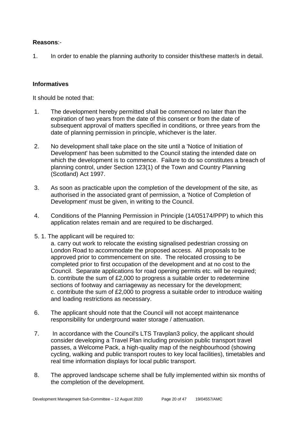#### **Reasons**:-

1. In order to enable the planning authority to consider this/these matter/s in detail.

#### **Informatives**

It should be noted that:

- 1. The development hereby permitted shall be commenced no later than the expiration of two years from the date of this consent or from the date of subsequent approval of matters specified in conditions, or three years from the date of planning permission in principle, whichever is the later.
- 2. No development shall take place on the site until a 'Notice of Initiation of Development' has been submitted to the Council stating the intended date on which the development is to commence. Failure to do so constitutes a breach of planning control, under Section 123(1) of the Town and Country Planning (Scotland) Act 1997.
- 3. As soon as practicable upon the completion of the development of the site, as authorised in the associated grant of permission, a 'Notice of Completion of Development' must be given, in writing to the Council.
- 4. Conditions of the Planning Permission in Principle (14/05174/PPP) to which this application relates remain and are required to be discharged.
- 5. 1. The applicant will be required to:

a. carry out work to relocate the existing signalised pedestrian crossing on London Road to accommodate the proposed access. All proposals to be approved prior to commencement on site. The relocated crossing to be completed prior to first occupation of the development and at no cost to the Council. Separate applications for road opening permits etc. will be required; b. contribute the sum of £2,000 to progress a suitable order to redetermine sections of footway and carriageway as necessary for the development; c. contribute the sum of £2,000 to progress a suitable order to introduce waiting and loading restrictions as necessary.

- 6. The applicant should note that the Council will not accept maintenance responsibility for underground water storage / attenuation.
- 7. In accordance with the Council's LTS Travplan3 policy, the applicant should consider developing a Travel Plan including provision public transport travel passes, a Welcome Pack, a high-quality map of the neighbourhood (showing cycling, walking and public transport routes to key local facilities), timetables and real time information displays for local public transport.
- 8. The approved landscape scheme shall be fully implemented within six months of the completion of the development.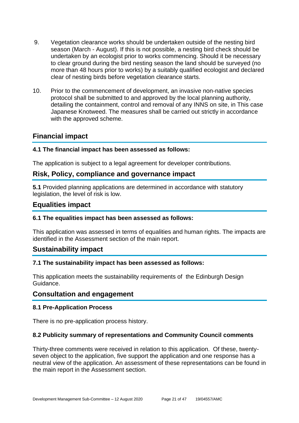- 9. Vegetation clearance works should be undertaken outside of the nesting bird season (March - August). If this is not possible, a nesting bird check should be undertaken by an ecologist prior to works commencing. Should it be necessary to clear ground during the bird nesting season the land should be surveyed (no more than 48 hours prior to works) by a suitably qualified ecologist and declared clear of nesting birds before vegetation clearance starts.
- 10. Prior to the commencement of development, an invasive non-native species protocol shall be submitted to and approved by the local planning authority, detailing the containment, control and removal of any INNS on site, in This case Japanese Knotweed. The measures shall be carried out strictly in accordance with the approved scheme.

## **Financial impact**

#### **4.1 The financial impact has been assessed as follows:**

The application is subject to a legal agreement for developer contributions.

## **Risk, Policy, compliance and governance impact**

**5.1** Provided planning applications are determined in accordance with statutory legislation, the level of risk is low.

## **Equalities impact**

#### **6.1 The equalities impact has been assessed as follows:**

This application was assessed in terms of equalities and human rights. The impacts are identified in the Assessment section of the main report.

#### **Sustainability impact**

#### **7.1 The sustainability impact has been assessed as follows:**

This application meets the sustainability requirements of the Edinburgh Design Guidance.

## **Consultation and engagement**

#### **8.1 Pre-Application Process**

There is no pre-application process history.

#### **8.2 Publicity summary of representations and Community Council comments**

Thirty-three comments were received in relation to this application. Of these, twentyseven object to the application, five support the application and one response has a neutral view of the application. An assessment of these representations can be found in the main report in the Assessment section.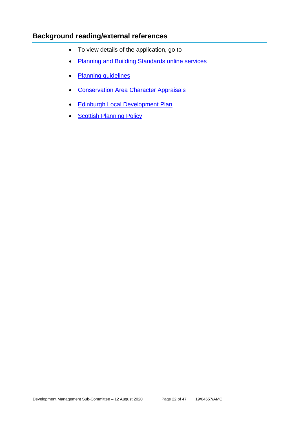## **Background reading/external references**

- To view details of the application, go to
- [Planning and Building Standards online services](https://citydev-portal.edinburgh.gov.uk/idoxpa-web/search.do?action=simple&searchType=Application)
- [Planning guidelines](http://www.edinburgh.gov.uk/planningguidelines)
- [Conservation Area Character Appraisals](http://www.edinburgh.gov.uk/characterappraisals)
- [Edinburgh Local Development Plan](http://www.edinburgh.gov.uk/localdevelopmentplan)
- [Scottish Planning Policy](http://www.scotland.gov.uk/Topics/Built-Environment/planning/Policy)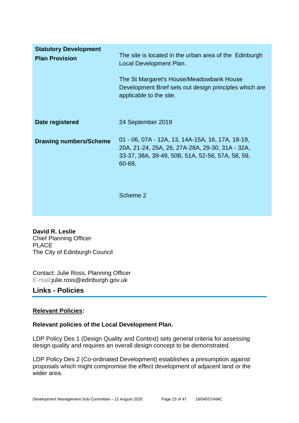| <b>Statutory Development</b><br><b>Plan Provision</b> | The site is located in the urban area of the Edinburgh<br>Local Development Plan.<br>The St Margaret's House/Meadowbank House<br>Development Brief sets out design principles which are<br>applicable to the site. |
|-------------------------------------------------------|--------------------------------------------------------------------------------------------------------------------------------------------------------------------------------------------------------------------|
| Date registered                                       | 24 September 2019                                                                                                                                                                                                  |
| <b>Drawing numbers/Scheme</b>                         | 01 - 06, 07A - 12A, 13, 14A-15A, 16, 17A, 18-19,<br>20A, 21-24, 25A, 26, 27A-28A, 29-30, 31A - 32A,<br>33-37, 38A, 39-49, 50B, 51A, 52-56, 57A, 58, 59,<br>60-69,                                                  |
|                                                       | Scheme 2                                                                                                                                                                                                           |

**David R. Leslie** Chief Planning Officer PLACE The City of Edinburgh Council

Contact: Julie Ross, Planning Officer E-mail:julie.ross@edinburgh.gov.uk

## **Links - Policies**

#### **Relevant Policies:**

#### **Relevant policies of the Local Development Plan.**

LDP Policy Des 1 (Design Quality and Context) sets general criteria for assessing design quality and requires an overall design concept to be demonstrated.

LDP Policy Des 2 (Co-ordinated Development) establishes a presumption against proposals which might compromise the effect development of adjacent land or the wider area.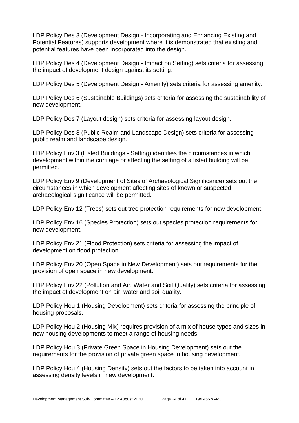LDP Policy Des 3 (Development Design - Incorporating and Enhancing Existing and Potential Features) supports development where it is demonstrated that existing and potential features have been incorporated into the design.

LDP Policy Des 4 (Development Design - Impact on Setting) sets criteria for assessing the impact of development design against its setting.

LDP Policy Des 5 (Development Design - Amenity) sets criteria for assessing amenity.

LDP Policy Des 6 (Sustainable Buildings) sets criteria for assessing the sustainability of new development.

LDP Policy Des 7 (Layout design) sets criteria for assessing layout design.

LDP Policy Des 8 (Public Realm and Landscape Design) sets criteria for assessing public realm and landscape design.

LDP Policy Env 3 (Listed Buildings - Setting) identifies the circumstances in which development within the curtilage or affecting the setting of a listed building will be permitted.

LDP Policy Env 9 (Development of Sites of Archaeological Significance) sets out the circumstances in which development affecting sites of known or suspected archaeological significance will be permitted.

LDP Policy Env 12 (Trees) sets out tree protection requirements for new development.

LDP Policy Env 16 (Species Protection) sets out species protection requirements for new development.

LDP Policy Env 21 (Flood Protection) sets criteria for assessing the impact of development on flood protection.

LDP Policy Env 20 (Open Space in New Development) sets out requirements for the provision of open space in new development.

LDP Policy Env 22 (Pollution and Air, Water and Soil Quality) sets criteria for assessing the impact of development on air, water and soil quality.

LDP Policy Hou 1 (Housing Development) sets criteria for assessing the principle of housing proposals.

LDP Policy Hou 2 (Housing Mix) requires provision of a mix of house types and sizes in new housing developments to meet a range of housing needs.

LDP Policy Hou 3 (Private Green Space in Housing Development) sets out the requirements for the provision of private green space in housing development.

LDP Policy Hou 4 (Housing Density) sets out the factors to be taken into account in assessing density levels in new development.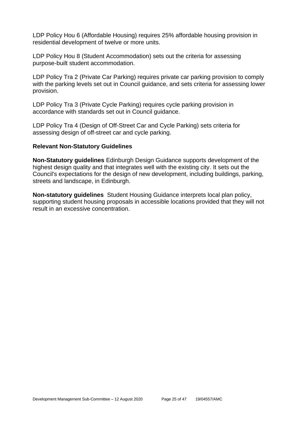LDP Policy Hou 6 (Affordable Housing) requires 25% affordable housing provision in residential development of twelve or more units.

LDP Policy Hou 8 (Student Accommodation) sets out the criteria for assessing purpose-built student accommodation.

LDP Policy Tra 2 (Private Car Parking) requires private car parking provision to comply with the parking levels set out in Council guidance, and sets criteria for assessing lower provision.

LDP Policy Tra 3 (Private Cycle Parking) requires cycle parking provision in accordance with standards set out in Council guidance.

LDP Policy Tra 4 (Design of Off-Street Car and Cycle Parking) sets criteria for assessing design of off-street car and cycle parking.

#### **Relevant Non-Statutory Guidelines**

**Non-Statutory guidelines** Edinburgh Design Guidance supports development of the highest design quality and that integrates well with the existing city. It sets out the Council's expectations for the design of new development, including buildings, parking, streets and landscape, in Edinburgh.

**Non-statutory guidelines** Student Housing Guidance interprets local plan policy, supporting student housing proposals in accessible locations provided that they will not result in an excessive concentration.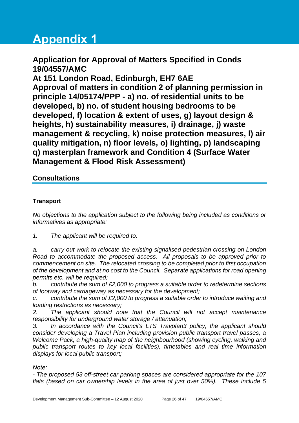# **Appendix 1**

## **Application for Approval of Matters Specified in Conds 19/04557/AMC**

**At 151 London Road, Edinburgh, EH7 6AE Approval of matters in condition 2 of planning permission in principle 14/05174/PPP - a) no. of residential units to be developed, b) no. of student housing bedrooms to be developed, f) location & extent of uses, g) layout design & heights, h) sustainability measures, i) drainage, j) waste management & recycling, k) noise protection measures, l) air quality mitigation, n) floor levels, o) lighting, p) landscaping q) masterplan framework and Condition 4 (Surface Water Management & Flood Risk Assessment)**

## **Consultations**

## **Transport**

*No objections to the application subject to the following being included as conditions or informatives as appropriate:*

*1. The applicant will be required to:*

*a. carry out work to relocate the existing signalised pedestrian crossing on London Road to accommodate the proposed access. All proposals to be approved prior to commencement on site. The relocated crossing to be completed prior to first occupation of the development and at no cost to the Council. Separate applications for road opening permits etc. will be required;*

*b. contribute the sum of £2,000 to progress a suitable order to redetermine sections of footway and carriageway as necessary for the development;*

*c. contribute the sum of £2,000 to progress a suitable order to introduce waiting and loading restrictions as necessary;*

*2. The applicant should note that the Council will not accept maintenance responsibility for underground water storage / attenuation;*

*3. In accordance with the Council's LTS Travplan3 policy, the applicant should consider developing a Travel Plan including provision public transport travel passes, a Welcome Pack, a high-quality map of the neighbourhood (showing cycling, walking and public transport routes to key local facilities), timetables and real time information displays for local public transport;*

#### *Note:*

*- The proposed 53 off-street car parking spaces are considered appropriate for the 107 flats (based on car ownership levels in the area of just over 50%). These include 5*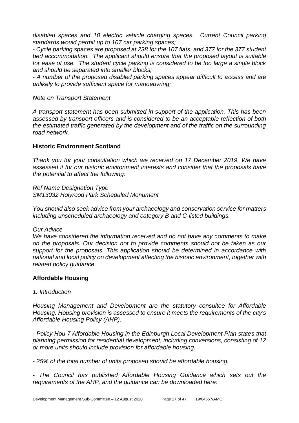*disabled spaces and 10 electric vehicle charging spaces. Current Council parking standards would permit up to 107 car parking spaces;*

*- Cycle parking spaces are proposed at 238 for the 107 flats, and 377 for the 377 student bed accommodation. The applicant should ensure that the proposed layout is suitable for ease of use. The student cycle parking is considered to be too large a single block and should be separated into smaller blocks;*

*- A number of the proposed disabled parking spaces appear difficult to access and are unlikely to provide sufficient space for manoeuvring;*

#### *Note on Transport Statement*

*A transport statement has been submitted in support of the application. This has been assessed by transport officers and is considered to be an acceptable reflection of both the estimated traffic generated by the development and of the traffic on the surrounding road network.* 

#### **Historic Environment Scotland**

*Thank you for your consultation which we received on 17 December 2019. We have assessed it for our historic environment interests and consider that the proposals have the potential to affect the following:*

*Ref Name Designation Type SM13032 Holyrood Park Scheduled Monument*

*You should also seek advice from your archaeology and conservation service for matters including unscheduled archaeology and category B and C-listed buildings.*

#### *Our Advice*

*We have considered the information received and do not have any comments to make on the proposals. Our decision not to provide comments should not be taken as our support for the proposals. This application should be determined in accordance with national and local policy on development affecting the historic environment, together with related policy guidance.*

#### **Affordable Housing**

#### *1. Introduction*

*Housing Management and Development are the statutory consultee for Affordable Housing. Housing provision is assessed to ensure it meets the requirements of the city's Affordable Housing Policy (AHP).*

*- Policy Hou 7 Affordable Housing in the Edinburgh Local Development Plan states that planning permission for residential development, including conversions, consisting of 12 or more units should include provision for affordable housing.* 

*- 25% of the total number of units proposed should be affordable housing.* 

*- The Council has published Affordable Housing Guidance which sets out the requirements of the AHP, and the guidance can be downloaded here:*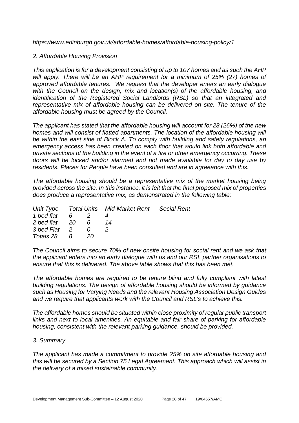*https://www.edinburgh.gov.uk/affordable-homes/affordable-housing-policy/1*

#### *2. Affordable Housing Provision*

*This application is for a development consisting of up to 107 homes and as such the AHP will apply. There will be an AHP requirement for a minimum of 25% (27) homes of approved affordable tenures. We request that the developer enters an early dialogue*  with the Council on the design, mix and location(s) of the affordable housing, and *identification of the Registered Social Landlords (RSL) so that an integrated and representative mix of affordable housing can be delivered on site. The tenure of the affordable housing must be agreed by the Council.*

*The applicant has stated that the affordable housing will account for 28 (26%) of the new homes and will consist of flatted apartments. The location of the affordable housing will be within the east side of Block A. To comply with building and safety regulations, an emergency access has been created on each floor that would link both affordable and private sections of the building in the event of a fire or other emergency occurring. These doors will be locked and/or alarmed and not made available for day to day use by residents. Places for People have been consulted and are in agreeance with this.*

*The affordable housing should be a representative mix of the market housing being provided across the site. In this instance, it is felt that the final proposed mix of properties does produce a representative mix, as demonstrated in the following table:*

|                 |  |      | Unit Type Total Units Mid-Market Rent Social Rent |  |
|-----------------|--|------|---------------------------------------------------|--|
| 1 bed flat 6 2  |  |      |                                                   |  |
| 2 bed flat 20 6 |  |      | 14                                                |  |
| 3 bed Flat 2 0  |  |      |                                                   |  |
| Totals 28 8     |  | -20- |                                                   |  |

*The Council aims to secure 70% of new onsite housing for social rent and we ask that the applicant enters into an early dialogue with us and our RSL partner organisations to ensure that this is delivered. The above table shows that this has been met.*

*The affordable homes are required to be tenure blind and fully compliant with latest building regulations. The design of affordable housing should be informed by guidance such as Housing for Varying Needs and the relevant Housing Association Design Guides and we require that applicants work with the Council and RSL's to achieve this.* 

*The affordable homes should be situated within close proximity of regular public transport links and next to local amenities. An equitable and fair share of parking for affordable housing, consistent with the relevant parking guidance, should be provided.*

#### *3. Summary*

*The applicant has made a commitment to provide 25% on site affordable housing and this will be secured by a Section 75 Legal Agreement. This approach which will assist in the delivery of a mixed sustainable community:*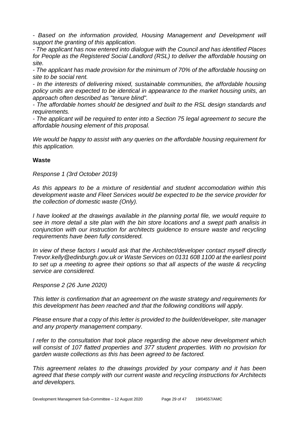*- Based on the information provided, Housing Management and Development will support the granting of this application.*

*- The applicant has now entered into dialogue with the Council and has identified Places for People as the Registered Social Landlord (RSL) to deliver the affordable housing on site.*

*- The applicant has made provision for the minimum of 70% of the affordable housing on site to be social rent.* 

*- In the interests of delivering mixed, sustainable communities, the affordable housing policy units are expected to be identical in appearance to the market housing units, an approach often described as "tenure blind".*

*- The affordable homes should be designed and built to the RSL design standards and requirements.* 

*- The applicant will be required to enter into a Section 75 legal agreement to secure the affordable housing element of this proposal.*

*We would be happy to assist with any queries on the affordable housing requirement for this application.*

#### **Waste**

*Response 1 (3rd October 2019)*

*As this appears to be a mixture of residential and student accomodation within this development waste and Fleet Services would be expected to be the service provider for the collection of domestic waste (Only).* 

*I have looked at the drawings available in the planning portal file, we would require to see in more detail a site plan with the bin store locations and a swept path analisis in conjunction with our instruction for architects guidence to ensure waste and recycling requirements have been fully considered.*

*In view of these factors I would ask that the Architect/developer contact myself directly Trevor.kelly@edinburgh.gov.uk or Waste Services on 0131 608 1100 at the earliest point to set up a meeting to agree their options so that all aspects of the waste & recycling service are considered.*

*Response 2 (26 June 2020)*

*This letter is confirmation that an agreement on the waste strategy and requirements for this development has been reached and that the following conditions will apply.* 

*Please ensure that a copy of this letter is provided to the builder/developer, site manager and any property management company.*

*I refer to the consultation that took place regarding the above new development which will consist of 107 flatted properties and 377 student properties. With no provision for garden waste collections as this has been agreed to be factored.* 

*This agreement relates to the drawings provided by your company and it has been agreed that these comply with our current waste and recycling instructions for Architects and developers.*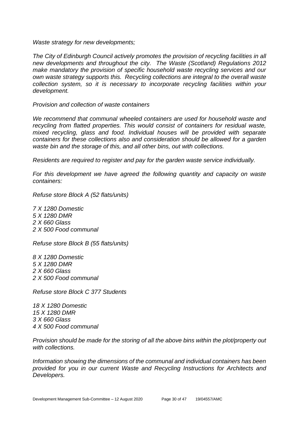*Waste strategy for new developments;*

*The City of Edinburgh Council actively promotes the provision of recycling facilities in all new developments and throughout the city. The Waste (Scotland) Regulations 2012 make mandatory the provision of specific household waste recycling services and our own waste strategy supports this. Recycling collections are integral to the overall waste collection system, so it is necessary to incorporate recycling facilities within your development.*

*Provision and collection of waste containers*

We recommend that communal wheeled containers are used for household waste and *recycling from flatted properties. This would consist of containers for residual waste, mixed recycling, glass and food. Individual houses will be provided with separate containers for these collections also and consideration should be allowed for a garden waste bin and the storage of this, and all other bins, out with collections.* 

*Residents are required to register and pay for the garden waste service individually.* 

*For this development we have agreed the following quantity and capacity on waste containers:*

*Refuse store Block A (52 flats/units)*

*7 X 1280 Domestic 5 X 1280 DMR 2 X 660 Glass 2 X 500 Food communal*

*Refuse store Block B (55 flats/units)*

*8 X 1280 Domestic 5 X 1280 DMR 2 X 660 Glass 2 X 500 Food communal*

*Refuse store Block C 377 Students*

*18 X 1280 Domestic 15 X 1280 DMR 3 X 660 Glass 4 X 500 Food communal*

*Provision should be made for the storing of all the above bins within the plot/property out with collections.*

*Information showing the dimensions of the communal and individual containers has been provided for you in our current Waste and Recycling Instructions for Architects and Developers.*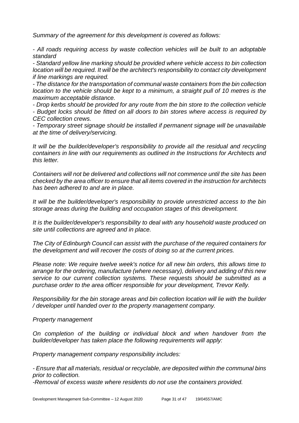*Summary of the agreement for this development is covered as follows:* 

*- All roads requiring access by waste collection vehicles will be built to an adoptable standard* 

*- Standard yellow line marking should be provided where vehicle access to bin collection location will be required. It will be the architect's responsibility to contact city development if line markings are required.* 

*- The distance for the transportation of communal waste containers from the bin collection location to the vehicle should be kept to a minimum, a straight pull of 10 metres is the maximum acceptable distance.*

*- Drop kerbs should be provided for any route from the bin store to the collection vehicle - Budget locks should be fitted on all doors to bin stores where access is required by CEC collection crews.* 

*- Temporary street signage should be installed if permanent signage will be unavailable at the time of delivery/servicing.*

*It will be the builder/developer's responsibility to provide all the residual and recycling containers in line with our requirements as outlined in the Instructions for Architects and this letter.* 

*Containers will not be delivered and collections will not commence until the site has been checked by the area officer to ensure that all items covered in the instruction for architects has been adhered to and are in place.*

*It will be the builder/developer's responsibility to provide unrestricted access to the bin storage areas during the building and occupation stages of this development.* 

*It is the builder/developer's responsibility to deal with any household waste produced on site until collections are agreed and in place.*

*The City of Edinburgh Council can assist with the purchase of the required containers for the development and will recover the costs of doing so at the current prices.* 

*Please note: We require twelve week's notice for all new bin orders, this allows time to arrange for the ordering, manufacture (where necessary), delivery and adding of this new service to our current collection systems. These requests should be submitted as a purchase order to the area officer responsible for your development, Trevor Kelly.*

*Responsibility for the bin storage areas and bin collection location will lie with the builder / developer until handed over to the property management company.*

*Property management*

*On completion of the building or individual block and when handover from the builder/developer has taken place the following requirements will apply:*

*Property management company responsibility includes:*

*- Ensure that all materials, residual or recyclable, are deposited within the communal bins prior to collection.*

*-Removal of excess waste where residents do not use the containers provided.*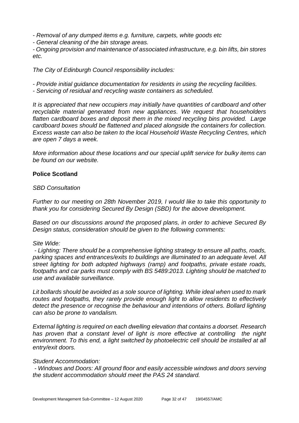*- Removal of any dumped items e.g. furniture, carpets, white goods etc*

*- General cleaning of the bin storage areas.*

*- Ongoing provision and maintenance of associated infrastructure, e.g. bin lifts, bin stores etc.*

*The City of Edinburgh Council responsibility includes:* 

*- Provide initial guidance documentation for residents in using the recycling facilities.* 

*- Servicing of residual and recycling waste containers as scheduled.*

*It is appreciated that new occupiers may initially have quantities of cardboard and other recyclable material generated from new appliances. We request that householders flatten cardboard boxes and deposit them in the mixed recycling bins provided. Large cardboard boxes should be flattened and placed alongside the containers for collection. Excess waste can also be taken to the local Household Waste Recycling Centres, which are open 7 days a week.*

*More information about these locations and our special uplift service for bulky items can be found on our website.*

#### **Police Scotland**

#### *SBD Consultation*

*Further to our meeting on 28th November 2019, I would like to take this opportunity to thank you for considering Secured By Design (SBD) for the above development.*

*Based on our discussions around the proposed plans, in order to achieve Secured By Design status, consideration should be given to the following comments:*

#### *Site Wide:*

*- Lighting: There should be a comprehensive lighting strategy to ensure all paths, roads, parking spaces and entrances/exits to buildings are illuminated to an adequate level. All street lighting for both adopted highways (ramp) and footpaths, private estate roads, footpaths and car parks must comply with BS 5489:2013. Lighting should be matched to use and available surveillance.*

*Lit bollards should be avoided as a sole source of lighting. While ideal when used to mark routes and footpaths, they rarely provide enough light to allow residents to effectively detect the presence or recognise the behaviour and intentions of others. Bollard lighting can also be prone to vandalism.*

*External lighting is required on each dwelling elevation that contains a doorset. Research*  has proven that a constant level of light is more effective at controlling the night *environment. To this end, a light switched by photoelectric cell should be installed at all entry/exit doors.*

#### *Student Accommodation:*

*- Windows and Doors: All ground floor and easily accessible windows and doors serving the student accommodation should meet the PAS 24 standard.*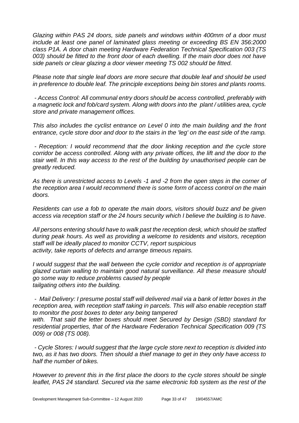*Glazing within PAS 24 doors, side panels and windows within 400mm of a door must include at least one panel of laminated glass meeting or exceeding BS EN 356:2000 class P1A. A door chain meeting Hardware Federation Technical Specification 003 (TS 003) should be fitted to the front door of each dwelling. If the main door does not have side panels or clear glazing a door viewer meeting TS 002 should be fitted.*

*Please note that single leaf doors are more secure that double leaf and should be used in preference to double leaf. The principle exceptions being bin stores and plants rooms.*

*- Access Control: All communal entry doors should be access controlled, preferably with a magnetic lock and fob/card system. Along with doors into the plant / utilities area, cycle store and private management offices.*

*This also includes the cyclist entrance on Level 0 into the main building and the front entrance, cycle store door and door to the stairs in the 'leg' on the east side of the ramp.*

*- Reception: I would recommend that the door linking reception and the cycle store corridor be access controlled. Along with any private offices, the lift and the door to the stair well. In this way access to the rest of the building by unauthorised people can be greatly reduced.*

*As there is unrestricted access to Levels -1 and -2 from the open steps in the corner of the reception area I would recommend there is some form of access control on the main doors.*

*Residents can use a fob to operate the main doors, visitors should buzz and be given access via reception staff or the 24 hours security which I believe the building is to have.*

*All persons entering should have to walk past the reception desk, which should be staffed during peak hours. As well as providing a welcome to residents and visitors, reception staff will be ideally placed to monitor CCTV, report suspicious activity, take reports of defects and arrange timeous repairs.*

*I would suggest that the wall between the cycle corridor and reception is of appropriate glazed curtain walling to maintain good natural surveillance. All these measure should go some way to reduce problems caused by people tailgating others into the building.*

*- Mail Delivery: I presume postal staff will delivered mail via a bank of letter boxes in the reception area, with reception staff taking in parcels. This will also enable reception staff to monitor the post boxes to deter any being tampered*

*with. That said the letter boxes should meet Secured by Design (SBD) standard for residential properties, that of the Hardware Federation Technical Specification 009 (TS 009) or 008 (TS 008).*

*- Cycle Stores: I would suggest that the large cycle store next to reception is divided into two, as it has two doors. Then should a thief manage to get in they only have access to half the number of bikes.*

*However to prevent this in the first place the doors to the cycle stores should be single*  leaflet, PAS 24 standard. Secured via the same electronic fob system as the rest of the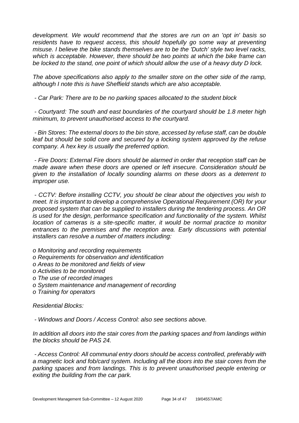*development. We would recommend that the stores are run on an 'opt in' basis so*  residents have to request access, this should hopefully go some way at preventing *misuse. I believe the bike stands themselves are to be the 'Dutch' style two level racks, which is acceptable. However, there should be two points at which the bike frame can be locked to the stand, one point of which should allow the use of a heavy duty D lock.*

*The above specifications also apply to the smaller store on the other side of the ramp, although I note this is have Sheffield stands which are also acceptable.*

*- Car Park: There are to be no parking spaces allocated to the student block*

*- Courtyard: The south and east boundaries of the courtyard should be 1.8 meter high minimum, to prevent unauthorised access to the courtyard.*

*- Bin Stores: The external doors to the bin store, accessed by refuse staff, can be double leaf but should be solid core and secured by a locking system approved by the refuse company. A hex key is usually the preferred option.*

*- Fire Doors: External Fire doors should be alarmed in order that reception staff can be made aware when these doors are opened or left insecure. Consideration should be given to the installation of locally sounding alarms on these doors as a deterrent to improper use.*

*- CCTV: Before installing CCTV, you should be clear about the objectives you wish to meet. It is important to develop a comprehensive Operational Requirement (OR) for your proposed system that can be supplied to installers during the tendering process. An OR is used for the design, performance specification and functionality of the system. Whilst location of cameras is a site-specific matter, it would be normal practice to monitor entrances to the premises and the reception area. Early discussions with potential installers can resolve a number of matters including:*

*o Monitoring and recording requirements*

- *o Requirements for observation and identification*
- *o Areas to be monitored and fields of view*
- *o Activities to be monitored*
- *o The use of recorded images*
- *o System maintenance and management of recording*
- *o Training for operators*

*Residential Blocks:*

*- Windows and Doors / Access Control: also see sections above.*

*In addition all doors into the stair cores from the parking spaces and from landings within the blocks should be PAS 24.*

*- Access Control: All communal entry doors should be access controlled, preferably with a magnetic lock and fob/card system. Including all the doors into the stair cores from the parking spaces and from landings. This is to prevent unauthorised people entering or exiting the building from the car park.*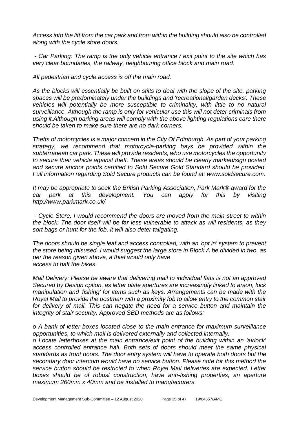*Access into the lift from the car park and from within the building should also be controlled along with the cycle store doors.*

*- Car Parking: The ramp is the only vehicle entrance / exit point to the site which has very clear boundaries, the railway, neighbouring office block and main road.*

*All pedestrian and cycle access is off the main road.*

*As the blocks will essentially be built on stilts to deal with the slope of the site, parking spaces will be predominately under the buildings and 'recreational/garden decks'. These vehicles will potentially be more susceptible to criminality, with little to no natural surveillance. Although the ramp is only for vehicular use this will not deter criminals from using it.Although parking areas will comply with the above lighting regulations care there should be taken to make sure there are no dark corners.*

*Thefts of motorcycles is a major concern in the City Of Edinburgh. As part of your parking strategy, we recommend that motorcycle-parking bays be provided within the subterranean car park. These will provide residents, who use motorcycles the opportunity to secure their vehicle against theft. These areas should be clearly marked/sign posted and secure anchor points certified to Sold Secure Gold Standard should be provided. Full information regarding Sold Secure products can be found at: www.soldsecure.com.*

*It may be appropriate to seek the British Parking Association, Park Mark® award for the car park at this development. You can apply for this by visiting http://www.parkmark.co.uk/*

*- Cycle Store: I would recommend the doors are moved from the main street to within the block. The door itself will be far less vulnerable to attack as will residents, as they sort bags or hunt for the fob, it will also deter tailgating.*

*The doors should be single leaf and access controlled, with an 'opt in' system to prevent the store being misused. I would suggest the large store in Block A be divided in two, as per the reason given above, a thief would only have access to half the bikes.*

*Mail Delivery: Please be aware that delivering mail to individual flats is not an approved Secured by Design option, as letter plate apertures are increasingly linked to arson, lock manipulation and 'fishing' for items such as keys. Arrangements can be made with the Royal Mail to provide the postman with a proximity fob to allow entry to the common stair*  for delivery of mail. This can negate the need for a service button and maintain the *integrity of stair security. Approved SBD methods are as follows:*

*o A bank of letter boxes located close to the main entrance for maximum surveillance opportunities, to which mail is delivered externally and collected internally.*

*o Locate letterboxes at the main entrance/exit point of the building within an 'airlock' access controlled entrance hall. Both sets of doors should meet the same physical standards as front doors. The door entry system will have to operate both doors but the secondary door intercom would have no service button. Please note for this method the service button should be restricted to when Royal Mail deliveries are expected. Letter boxes should be of robust construction, have anti-fishing properties, an aperture maximum 260mm x 40mm and be installed to manufacturers*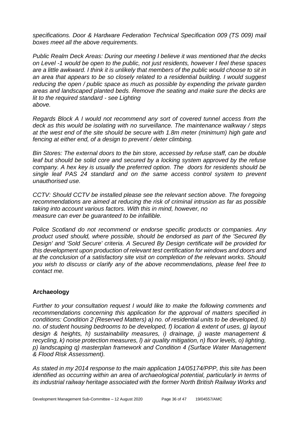*specifications. Door & Hardware Federation Technical Specification 009 (TS 009) mail boxes meet all the above requirements.*

*Public Realm Deck Areas: During our meeting I believe it was mentioned that the decks on Level -1 would be open to the public, not just residents, however I feel these spaces are a little awkward. I think it is unlikely that members of the public would choose to sit in an area that appears to be so closely related to a residential building. I would suggest reducing the open / public space as much as possible by expending the private garden areas and landscaped planted beds. Remove the seating and make sure the decks are lit to the required standard - see Lighting above.*

*Regards Block A I would not recommend any sort of covered tunnel access from the deck as this would be isolating with no surveillance. The maintenance walkway / steps at the west end of the site should be secure with 1.8m meter (minimum) high gate and fencing at either end, of a design to prevent / deter climbing.*

*Bin Stores: The external doors to the bin store, accessed by refuse staff, can be double*  leaf but should be solid core and secured by a locking system approved by the refuse *company. A hex key is usually the preferred option. The doors for residents should be single leaf PAS 24 standard and on the same access control system to prevent unauthorised use.*

*CCTV: Should CCTV be installed please see the relevant section above. The foregoing recommendations are aimed at reducing the risk of criminal intrusion as far as possible taking into account various factors. With this in mind, however, no measure can ever be guaranteed to be infallible.*

*Police Scotland do not recommend or endorse specific products or companies. Any product used should, where possible, should be endorsed as part of the 'Secured By Design' and 'Sold Secure' criteria. A Secured By Design certificate will be provided for this development upon production of relevant test certification for windows and doors and at the conclusion of a satisfactory site visit on completion of the relevant works. Should you wish to discuss or clarify any of the above recommendations, please feel free to contact me.*

#### **Archaeology**

*Further to your consultation request I would like to make the following comments and recommendations concerning this application for the approval of matters specified in conditions: Condition 2 (Reserved Matters) a) no. of residential units to be developed, b) no. of student housing bedrooms to be developed, f) location & extent of uses, g) layout design & heights, h) sustainability measures, i) drainage, j) waste management & recycling, k) noise protection measures, l) air quality mitigation, n) floor levels, o) lighting, p) landscaping q) masterplan framework and Condition 4 (Surface Water Management & Flood Risk Assessment).*

*As stated in my 2014 response to the main application 14/05174/PPP, this site has been identified as occurring within an area of archaeological potential, particularly in terms of its industrial railway heritage associated with the former North British Railway Works and*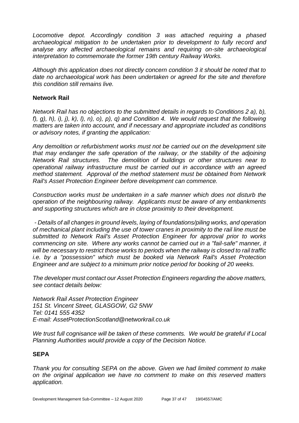*Locomotive depot. Accordingly condition 3 was attached requiring a phased archaeological mitigation to be undertaken prior to development to fully record and analyse any affected archaeological remains and requiring on-site archaeological interpretation to commemorate the former 19th century Railway Works.* 

*Although this application does not directly concern condition 3 it should be noted that to date no archaeological work has been undertaken or agreed for the site and therefore this condition still remains live.*

#### **Network Rail**

*Network Rail has no objections to the submitted details in regards to Conditions 2 a), b), f), g), h), i), j), k), l), n), o), p), q) and Condition 4. We would request that the following matters are taken into account, and if necessary and appropriate included as conditions or advisory notes, if granting the application:*

*Any demolition or refurbishment works must not be carried out on the development site that may endanger the safe operation of the railway, or the stability of the adjoining Network Rail structures. The demolition of buildings or other structures near to operational railway infrastructure must be carried out in accordance with an agreed method statement. Approval of the method statement must be obtained from Network Rail's Asset Protection Engineer before development can commence.*

*Construction works must be undertaken in a safe manner which does not disturb the operation of the neighbouring railway. Applicants must be aware of any embankments and supporting structures which are in close proximity to their development.* 

*- Details of all changes in ground levels, laying of foundations/piling works, and operation of mechanical plant including the use of tower cranes in proximity to the rail line must be submitted to Network Rail's Asset Protection Engineer for approval prior to works commencing on site. Where any works cannot be carried out in a "fail-safe" manner, it will be necessary to restrict those works to periods when the railway is closed to rail traffic i.e. by a "possession" which must be booked via Network Rail's Asset Protection Engineer and are subject to a minimum prior notice period for booking of 20 weeks.*

*The developer must contact our Asset Protection Engineers regarding the above matters, see contact details below:*

*Network Rail Asset Protection Engineer 151 St. Vincent Street, GLASGOW, G2 5NW Tel: 0141 555 4352 E-mail: AssetProtectionScotland@networkrail.co.uk*

*We trust full cognisance will be taken of these comments. We would be grateful if Local Planning Authorities would provide a copy of the Decision Notice.* 

#### **SEPA**

*Thank you for consulting SEPA on the above. Given we had limited comment to make on the original application we have no comment to make on this reserved matters application.*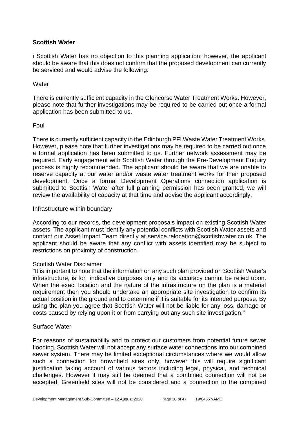#### **Scottish Water**

i Scottish Water has no objection to this planning application; however, the applicant should be aware that this does not confirm that the proposed development can currently be serviced and would advise the following:

#### **Water**

There is currently sufficient capacity in the Glencorse Water Treatment Works. However, please note that further investigations may be required to be carried out once a formal application has been submitted to us.

#### Foul

There is currently sufficient capacity in the Edinburgh PFI Waste Water Treatment Works. However, please note that further investigations may be required to be carried out once a formal application has been submitted to us. Further network assessment may be required. Early engagement with Scottish Water through the Pre-Development Enquiry process is highly recommended. The applicant should be aware that we are unable to reserve capacity at our water and/or waste water treatment works for their proposed development. Once a formal Development Operations connection application is submitted to Scottish Water after full planning permission has been granted, we will review the availability of capacity at that time and advise the applicant accordingly.

#### Infrastructure within boundary

According to our records, the development proposals impact on existing Scottish Water assets. The applicant must identify any potential conflicts with Scottish Water assets and contact our Asset Impact Team directly at service.relocation@scottishwater.co.uk. The applicant should be aware that any conflict with assets identified may be subject to restrictions on proximity of construction.

#### Scottish Water Disclaimer

"It is important to note that the information on any such plan provided on Scottish Water's infrastructure, is for indicative purposes only and its accuracy cannot be relied upon. When the exact location and the nature of the infrastructure on the plan is a material requirement then you should undertake an appropriate site investigation to confirm its actual position in the ground and to determine if it is suitable for its intended purpose. By using the plan you agree that Scottish Water will not be liable for any loss, damage or costs caused by relying upon it or from carrying out any such site investigation."

#### Surface Water

For reasons of sustainability and to protect our customers from potential future sewer flooding, Scottish Water will not accept any surface water connections into our combined sewer system. There may be limited exceptional circumstances where we would allow such a connection for brownfield sites only, however this will require significant justification taking account of various factors including legal, physical, and technical challenges. However it may still be deemed that a combined connection will not be accepted. Greenfield sites will not be considered and a connection to the combined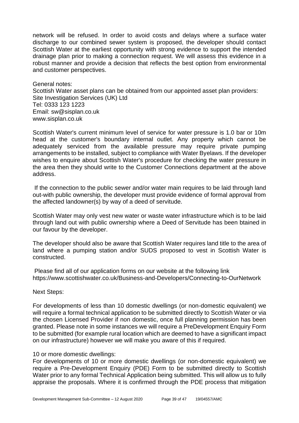network will be refused. In order to avoid costs and delays where a surface water discharge to our combined sewer system is proposed, the developer should contact Scottish Water at the earliest opportunity with strong evidence to support the intended drainage plan prior to making a connection request. We will assess this evidence in a robust manner and provide a decision that reflects the best option from environmental and customer perspectives.

General notes: Scottish Water asset plans can be obtained from our appointed asset plan providers: Site Investigation Services (UK) Ltd Tel: 0333 123 1223 Email: sw@sisplan.co.uk www.sisplan.co.uk

Scottish Water's current minimum level of service for water pressure is 1.0 bar or 10m head at the customer's boundary internal outlet. Any property which cannot be adequately serviced from the available pressure may require private pumping arrangements to be installed, subject to compliance with Water Byelaws. If the developer wishes to enquire about Scottish Water's procedure for checking the water pressure in the area then they should write to the Customer Connections department at the above address.

If the connection to the public sewer and/or water main requires to be laid through land out-with public ownership, the developer must provide evidence of formal approval from the affected landowner(s) by way of a deed of servitude.

Scottish Water may only vest new water or waste water infrastructure which is to be laid through land out with public ownership where a Deed of Servitude has been btained in our favour by the developer.

The developer should also be aware that Scottish Water requires land title to the area of land where a pumping station and/or SUDS proposed to vest in Scottish Water is constructed.

Please find all of our application forms on our website at the following link https://www.scottishwater.co.uk/Business-and-Developers/Connecting-to-OurNetwork

Next Steps:

For developments of less than 10 domestic dwellings (or non-domestic equivalent) we will require a formal technical application to be submitted directly to Scottish Water or via the chosen Licensed Provider if non domestic, once full planning permission has been granted. Please note in some instances we will require a PreDevelopment Enquiry Form to be submitted (for example rural location which are deemed to have a significant impact on our infrastructure) however we will make you aware of this if required.

#### 10 or more domestic dwellings:

For developments of 10 or more domestic dwellings (or non-domestic equivalent) we require a Pre-Development Enquiry (PDE) Form to be submitted directly to Scottish Water prior to any formal Technical Application being submitted. This will allow us to fully appraise the proposals. Where it is confirmed through the PDE process that mitigation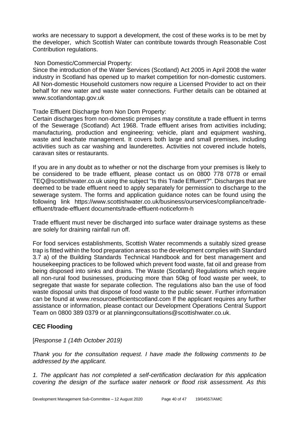works are necessary to support a development, the cost of these works is to be met by the developer, which Scottish Water can contribute towards through Reasonable Cost Contribution regulations.

#### Non Domestic/Commercial Property:

Since the introduction of the Water Services (Scotland) Act 2005 in April 2008 the water industry in Scotland has opened up to market competition for non-domestic customers. All Non-domestic Household customers now require a Licensed Provider to act on their behalf for new water and waste water connections. Further details can be obtained at www.scotlandontap.gov.uk

#### Trade Effluent Discharge from Non Dom Property:

Certain discharges from non-domestic premises may constitute a trade effluent in terms of the Sewerage (Scotland) Act 1968. Trade effluent arises from activities including; manufacturing, production and engineering; vehicle, plant and equipment washing, waste and leachate management. It covers both large and small premises, including activities such as car washing and launderettes. Activities not covered include hotels, caravan sites or restaurants.

If you are in any doubt as to whether or not the discharge from your premises is likely to be considered to be trade effluent, please contact us on 0800 778 0778 or email TEQ@scottishwater.co.uk using the subject "Is this Trade Effluent?". Discharges that are deemed to be trade effluent need to apply separately for permission to discharge to the sewerage system. The forms and application guidance notes can be found using the following link https://www.scottishwater.co.uk/business/ourservices/compliance/tradeeffluent/trade-effluent documents/trade-effluent-noticeform-h

Trade effluent must never be discharged into surface water drainage systems as these are solely for draining rainfall run off.

For food services establishments, Scottish Water recommends a suitably sized grease trap is fitted within the food preparation areas so the development complies with Standard 3.7 a) of the Building Standards Technical Handbook and for best management and housekeeping practices to be followed which prevent food waste, fat oil and grease from being disposed into sinks and drains. The Waste (Scotland) Regulations which require all non-rural food businesses, producing more than 50kg of food waste per week, to segregate that waste for separate collection. The regulations also ban the use of food waste disposal units that dispose of food waste to the public sewer. Further information can be found at www.resourceefficientscotland.com If the applicant requires any further assistance or information, please contact our Development Operations Central Support Team on 0800 389 0379 or at planningconsultations@scottishwater.co.uk.

#### **CEC Flooding**

#### [*Response 1 (14th October 2019)*

*Thank you for the consultation request. I have made the following comments to be addressed by the applicant.*

*1. The applicant has not completed a self-certification declaration for this application covering the design of the surface water network or flood risk assessment. As this*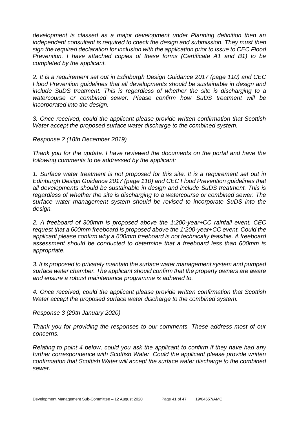*development is classed as a major development under Planning definition then an independent consultant is required to check the design and submission. They must then sign the required declaration for inclusion with the application prior to issue to CEC Flood Prevention. I have attached copies of these forms (Certificate A1 and B1) to be completed by the applicant.* 

*2. It is a requirement set out in Edinburgh Design Guidance 2017 (page 110) and CEC Flood Prevention guidelines that all developments should be sustainable in design and include SuDS treatment. This is regardless of whether the site is discharging to a watercourse or combined sewer. Please confirm how SuDS treatment will be incorporated into the design.* 

*3. Once received, could the applicant please provide written confirmation that Scottish Water accept the proposed surface water discharge to the combined system.* 

*Response 2 (18th December 2019)*

*Thank you for the update. I have reviewed the documents on the portal and have the following comments to be addressed by the applicant:*

*1. Surface water treatment is not proposed for this site. It is a requirement set out in Edinburgh Design Guidance 2017 (page 110) and CEC Flood Prevention guidelines that all developments should be sustainable in design and include SuDS treatment. This is regardless of whether the site is discharging to a watercourse or combined sewer. The surface water management system should be revised to incorporate SuDS into the design.* 

*2. A freeboard of 300mm is proposed above the 1:200-year+CC rainfall event. CEC request that a 600mm freeboard is proposed above the 1:200-year+CC event. Could the applicant please confirm why a 600mm freeboard is not technically feasible. A freeboard assessment should be conducted to determine that a freeboard less than 600mm is appropriate.* 

*3. It is proposed to privately maintain the surface water management system and pumped surface water chamber. The applicant should confirm that the property owners are aware and ensure a robust maintenance programme is adhered to.* 

*4. Once received, could the applicant please provide written confirmation that Scottish Water accept the proposed surface water discharge to the combined system.* 

*Response 3 (29th January 2020)*

*Thank you for providing the responses to our comments. These address most of our concerns.* 

*Relating to point 4 below, could you ask the applicant to confirm if they have had any*  further correspondence with Scottish Water. Could the applicant please provide written *confirmation that Scottish Water will accept the surface water discharge to the combined sewer.*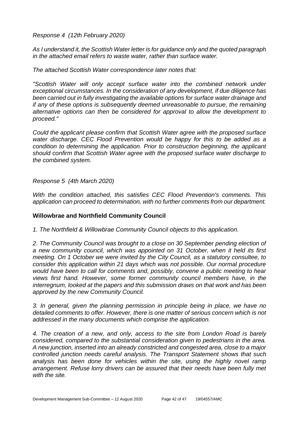*Response 4 (12th February 2020)*

*As I understand it, the Scottish Water letter is for guidance only and the quoted paragraph in the attached email refers to waste water, rather than surface water.* 

*The attached Scottish Water correspondence later notes that:* 

*"Scottish Water will only accept surface water into the combined network under exceptional circumstances. In the consideration of any development, if due diligence has been carried out in fully investigating the available options for surface water drainage and if any of these options is subsequently deemed unreasonable to pursue, the remaining alternative options can then be considered for approval to allow the development to proceed."* 

*Could the applicant please confirm that Scottish Water agree with the proposed surface water discharge. CEC Flood Prevention would be happy for this to be added as a condition to determining the application. Prior to construction beginning, the applicant should confirm that Scottish Water agree with the proposed surface water discharge to the combined system.* 

#### *Response 5 (4th March 2020)*

*With the condition attached, this satisfies CEC Flood Prevention's comments. This application can proceed to determination, with no further comments from our department.* 

#### **Willowbrae and Northfield Community Council**

*1. The Northfield & Willowbrae Community Council objects to this application.*

2. The Community Council was brought to a close on 30 September pending election of *a new community council, which was appointed on 31 October, when it held its first meeting. On 1 October we were invited by the City Council, as a statutory consultee, to consider this application within 21 days which was not possible. Our normal procedure would have been to call for comments and, possibly, convene a public meeting to hear views first hand. However, some former community council members have, in the interregnum, looked at the papers and this submission draws on that work and has been approved by the new Community Council.*

*3. In general, given the planning permission in principle being in place, we have no detailed comments to offer. However, there is one matter of serious concern which is not addressed in the many documents which comprise the application.*

*4. The creation of a new, and only, access to the site from London Road is barely considered, compared to the substantial consideration given to pedestrians in the area. A new junction, inserted into an already constricted and congested area, close to a major controlled junction needs careful analysis. The Transport Statement shows that such analysis has been done for vehicles within the site, using the highly novel ramp arrangement. Refuse lorry drivers can be assured that their needs have been fully met with the site.*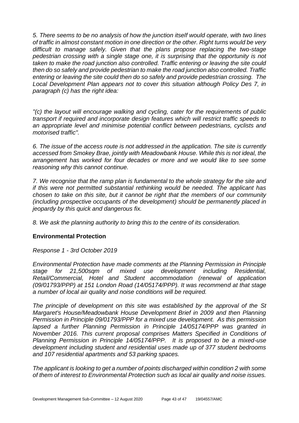*5. There seems to be no analysis of how the junction itself would operate, with two lines of traffic in almost constant motion in one direction or the other. Right turns would be very difficult to manage safely. Given that the plans propose replacing the two-stage pedestrian crossing with a single stage one, it is surprising that the opportunity is not taken to make the road junction also controlled. Traffic entering or leaving the site could then do so safely and provide pedestrian to make the road junction also controlled. Traffic entering or leaving the site could then do so safely and provide pedestrian crossing. The Local Development Plan appears not to cover this situation although Policy Des 7, in paragraph (c) has the right idea:*

*"(c) the layout will encourage walking and cycling, cater for the requirements of public transport if required and incorporate design features which will restrict traffic speeds to an appropriate level and minimise potential conflict between pedestrians, cyclists and motorised traffic".*

*6. The issue of the access route is not addressed in the application. The site is currently accessed from Smokey Brae, jointly with Meadowbank House. While this is not ideal, the arrangement has worked for four decades or more and we would like to see some reasoning why this cannot continue.*

*7. We recognise that the ramp plan is fundamental to the whole strategy for the site and if this were not permitted substantial rethinking would be needed. The applicant has chosen to take on this site, but it cannot be right that the members of our community (including prospective occupants of the development) should be permanently placed in jeopardy by this quick and dangerous fix.*

*8. We ask the planning authority to bring this to the centre of its consideration.*

#### **Environmental Protection**

*Response 1 - 3rd October 2019* 

*Environmental Protection have made comments at the Planning Permission in Principle stage for 21,500sqm of mixed use development including Residential, Retail/Commercial, Hotel and Student accommodation (renewal of application (09/01793/PPP) at 151 London Road (14/05174/PPP). It was recommend at that stage a number of local air quality and noise conditions will be required.* 

*The principle of development on this site was established by the approval of the St Margaret's House/Meadowbank House Development Brief in 2009 and then Planning Permission in Principle 09/01793/PPP for a mixed use development. As this permission*  lapsed a further Planning Permission in Principle 14/05174/PPP was granted in *November 2016. This current proposal comprises Matters Specified in Conditions of Planning Permission in Principle 14/05174/PPP. It is proposed to be a mixed-use development including student and residential uses made up of 377 student bedrooms and 107 residential apartments and 53 parking spaces.*

*The applicant is looking to get a number of points discharged within condition 2 with some of them of interest to Environmental Protection such as local air quality and noise issues.*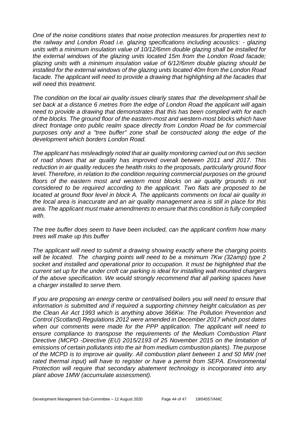*One of the noise conditions states that noise protection measures for properties next to the railway and London Road i.e. glazing specifications including acoustics: - glazing units with a minimum insulation value of 10/12/6mm double glazing shall be installed for the external windows of the glazing units located 15m from the London Road facade; glazing units with a minimum insulation value of 6/12/6mm double glazing should be installed for the external windows of the glazing units located 40m from the London Road facade. The applicant will need to provide a drawing that highlighting all the facades that will need this treatment.* 

*The condition on the local air quality issues clearly states that the development shall be set back at a distance 6 metres from the edge of London Road the applicant will again need to provide a drawing that demonstrates that this has been complied with for each of the blocks. The ground floor of the eastern-most and western-most blocks which have direct frontage onto public realm space directly from London Road be for commercial purposes only and a "tree buffer" zone shall be constructed along the edge of the development which borders London Road.* 

*The applicant has misleadingly noted that air quality monitoring carried out on this section of road shows that air quality has improved overall between 2011 and 2017. This reduction in air quality reduces the health risks to the proposals, particularly ground floor*  level. Therefore, in relation to the condition requiring commercial purposes on the ground floors of the eastern most and western most blocks on air quality grounds is not *considered to be required according to the applicant. Two flats are proposed to be located at ground floor level in block A. The applicants comments on local air quality in the local area is inaccurate and an air quality management area is still in place for this area. The applicant must make amendments to ensure that this condition is fully complied with.* 

*The tree buffer does seem to have been included, can the applicant confirm how many trees will make up this buffer*

*The applicant will need to submit a drawing showing exactly where the charging points will be located. The charging points will need to be a minimum 7Kw (32amp) type 2 socket and installed and operational prior to occupation. It must be highlighted that the current set up for the under croft car parking is ideal for installing wall mounted chargers of the above specification. We would strongly recommend that all parking spaces have a charger installed to serve them.* 

*If you are proposing an energy centre or centralised boilers you will need to ensure that information is submitted and if required a supporting chimney height calculation as per the Clean Air Act 1993 which is anything above 366Kw. The Pollution Prevention and Control (Scotland) Regulations 2012 were amended in December 2017 which post dates when our comments were made for the PPP application. The applicant will need to ensure compliance to transpose the requirements of the Medium Combustion Plant Directive (MCPD -Directive (EU) 2015/2193 of 25 November 2015 on the limitation of emissions of certain pollutants into the air from medium combustion plants). The purpose of the MCPD is to improve air quality. All combustion plant between 1 and 50 MW (net*  rated thermal input) will have to register or have a permit from SEPA. Environmental *Protection will require that secondary abatement technology is incorporated into any plant above 1MW (accumulate assessment).*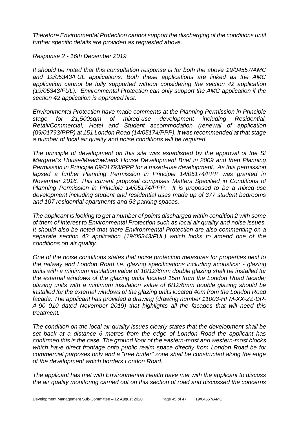*Therefore Environmental Protection cannot support the discharging of the conditions until further specific details are provided as requested above.*

*Response 2 - 16th December 2019* 

*It should be noted that this consultation response is for both the above 19/04557/AMC and 19/05343/FUL applications. Both these applications are linked as the AMC application cannot be fully supported without considering the section 42 application (19/05343/FUL). Environmental Protection can only support the AMC application if the section 42 application is approved first.*

*Environmental Protection have made comments at the Planning Permission in Principle stage for 21,500sqm of mixed-use development including Residential, Retail/Commercial, Hotel and Student accommodation (renewal of application (09/01793/PPP) at 151 London Road (14/05174/PPP). It was recommended at that stage a number of local air quality and noise conditions will be required.* 

*The principle of development on this site was established by the approval of the St Margaret's House/Meadowbank House Development Brief in 2009 and then Planning Permission in Principle 09/01793/PPP for a mixed-use development. As this permission lapsed a further Planning Permission in Principle 14/05174/PPP was granted in November 2016. This current proposal comprises Matters Specified in Conditions of Planning Permission in Principle 14/05174/PPP. It is proposed to be a mixed-use development including student and residential uses made up of 377 student bedrooms and 107 residential apartments and 53 parking spaces.*

*The applicant is looking to get a number of points discharged within condition 2 with some of them of interest to Environmental Protection such as local air quality and noise issues. It should also be noted that there Environmental Protection are also commenting on a separate section 42 application (19/05343/FUL) which looks to amend one of the conditions on air quality.* 

*One of the noise conditions states that noise protection measures for properties next to the railway and London Road i.e. glazing specifications including acoustics: - glazing units with a minimum insulation value of 10/12/6mm double glazing shall be installed for the external windows of the glazing units located 15m from the London Road facade; glazing units with a minimum insulation value of 6/12/6mm double glazing should be installed for the external windows of the glazing units located 40m from the London Road facade. The applicant has provided a drawing (drawing number 11003-HFM-XX-ZZ-DR-A-90 010 dated November 2019) that highlights all the facades that will need this treatment.* 

*The condition on the local air quality issues clearly states that the development shall be set back at a distance 6 metres from the edge of London Road the applicant has confirmed this is the case. The ground floor of the eastern-most and western-most blocks which have direct frontage onto public realm space directly from London Road be for commercial purposes only and a "tree buffer" zone shall be constructed along the edge of the development which borders London Road.* 

*The applicant has met with Environmental Health have met with the applicant to discuss the air quality monitoring carried out on this section of road and discussed the concerns*